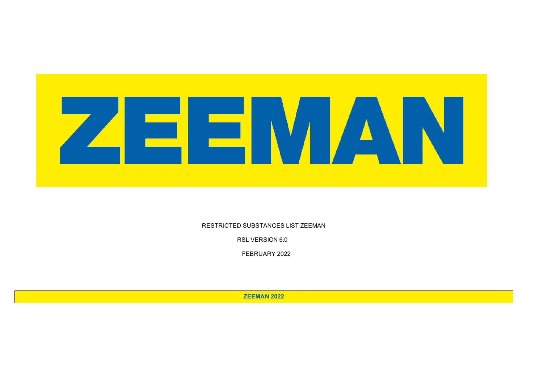

RESTRICTED SUBSTANCES LIST ZEEMAN

RSL VERSION 6.0

.FEBRUARY 2022

**ZEEMAN 2022**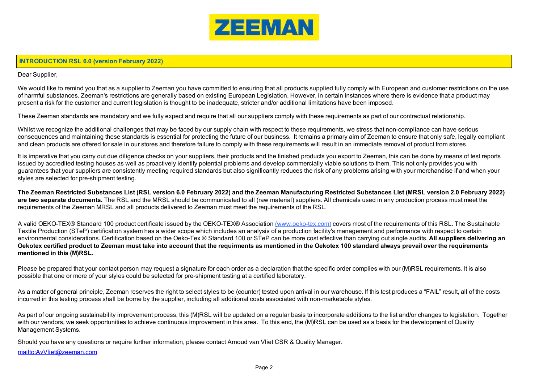

## **INTRODUCTION RSL 6.0 (version February 2022)**

Dear Supplier,

We would like to remind you that as a supplier to Zeeman you have committed to ensuring that all products supplied fully comply with European and customer restrictions on the use of harmful substances. Zeeman's restrictions are generally based on existing European Legislation. However, in certain instances where there is evidence that a product may present a risk for the customer and current legislation is thought to be inadequate, stricter and/or additional limitations have been imposed.

These Zeeman standards are mandatory and we fully expect and require that all our suppliers comply with these requirements as part of our contractual relationship.

Whilst we recognize the additional challenges that may be faced by our supply chain with respect to these requirements, we stress that non-compliance can have serious consequences and maintaining these standards is essential for protecting the future of our business. It remains a primary aim of Zeeman to ensure that only safe, legally compliant and clean products are offered for sale in our stores and therefore failure to comply with these requirements will result in an immediate removal of product from stores.

It is imperative that you carry out due diligence checks on your suppliers, their products and the finished products you export to Zeeman, this can be done by means of test reports issued by accredited testing houses as well as proactively identify potential problems and develop commercially viable solutions to them. This not only provides you with guarantees that your suppliers are consistently meeting required standards but also significantly reduces the risk of any problems arising with your merchandise if and when your styles are selected for pre-shipment testing.

**The Zeeman Restricted Substances List (RSL version 6.0 February 2022) and the Zeeman Manufacturing Restricted Substances List (MRSL version 2.0 February 2022) are two separate documents.** The RSL and the MRSL should be communicated to all (raw material) suppliers. All chemicals used in any production process must meet the requirements of the Zeeman MRSL and all products delivered to Zeeman must meet the requirements of the RSL.

A valid OEKO-TEX® Standard 100 product certificate issued by the OEKO-TEX® Association (www.oeko-tex.com) covers most of the requirements of this RSL. The Sustainable Textile Production (STeP) certification system has a wider scope which includes an analysis of a production facility's management and performance with respect to certain environmental considerations. Certification based on the Oeko-Tex ® Standard 100 or STeP can be more cost effective than carrying out single audits. **All suppliers delivering an Oekotex certified product to Zeeman must take into account that the requirments as mentioned in the Oekotex 100 standard always prevail over the requirements mentioned in this (M)RSL.** 

Please be prepared that your contact person may request a signature for each order as a declaration that the specific order complies with our (M)RSL requirements. It is also possible that one or more of your styles could be selected for pre-shipment testing at a certified laboratory.

As a matter of general principle, Zeeman reserves the right to select styles to be (counter) tested upon arrival in our warehouse. If this test produces a "FAIL" result, all of the costs incurred in this testing process shall be borne by the supplier, including all additional costs associated with non-marketable styles.

As part of our ongoing sustainability improvement process, this (M)RSL will be updated on a regular basis to incorporate additions to the list and/or changes to legislation. Together with our vendors, we seek opportunities to achieve continuous improvement in this area. To this end, the (M)RSL can be used as a basis for the development of Quality Management Systems.

Should you have any questions or require further information, please contact Arnoud van Vliet CSR & Quality Manager.

mailto:AvVliet@zeeman.com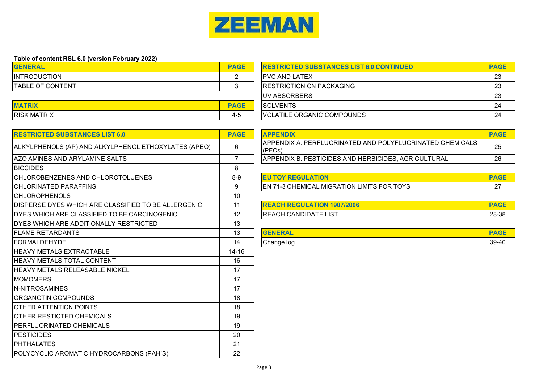

| Table of content RSL 6.0 (version February 2022) |             |                                                 |             |
|--------------------------------------------------|-------------|-------------------------------------------------|-------------|
| <b>GENERAL</b>                                   | <b>PAGE</b> | <b>RESTRICTED SUBSTANCES LIST 6.0 CONTINUED</b> | <b>PAGE</b> |
| <b>INTRODUCTION</b>                              |             | <b>IPVC AND LATEX</b>                           | 23          |
| <b>ITABLE OF CONTENT</b>                         |             | <b>IRESTRICTION ON PACKAGING</b>                | 23          |
|                                                  |             | <b>IUV ABSORBERS</b>                            | 23          |
| <b>MATRIX</b>                                    | <b>PAGE</b> | <b>ISOLVENTS</b>                                | 24          |
| <b>IRISK MATRIX</b>                              | 4-5         | VOLATILE ORGANIC COMPOUNDS                      | 24          |

| <b>RESTRICTED SUBSTANCES LIST 6.0</b>                      | <b>PAGE</b>    | <b>APPENDIX</b>                                                    | <b>PAG</b> |
|------------------------------------------------------------|----------------|--------------------------------------------------------------------|------------|
| ALKYLPHENOLS (AP) AND ALKYLPHENOL ETHOXYLATES (APEO)       | 6              | APPENDIX A. PERFLUORINATED AND POLYFLUORINATED CHEMICALS<br>(PFCs) | 25         |
| AZO AMINES AND ARYLAMINE SALTS                             | $\overline{7}$ | APPENDIX B. PESTICIDES AND HERBICIDES, AGRICULTURAL                | 26         |
| <b>BIOCIDES</b>                                            | 8              |                                                                    |            |
| CHLOROBENZENES AND CHLOROTOLUENES                          | $8-9$          | <b>EU TOY REGULATION</b>                                           | <b>PAC</b> |
| <b>CHLORINATED PARAFFINS</b>                               | 9              | <b>EN 71-3 CHEMICAL MIGRATION LIMITS FOR TOYS</b>                  | 27         |
| <b>CHLOROPHENOLS</b>                                       | 10             |                                                                    |            |
| <b>DISPERSE DYES WHICH ARE CLASSIFIED TO BE ALLERGENIC</b> | 11             | <b>REACH REGULATION 1907/2006</b>                                  | <b>PAC</b> |
| DYES WHICH ARE CLASSIFIED TO BE CARCINOGENIC               | 12             | <b>REACH CANDIDATE LIST</b>                                        | $28 - 3$   |
| DYES WHICH ARE ADDITIONALLY RESTRICTED                     | 13             |                                                                    |            |
| <b>FLAME RETARDANTS</b>                                    | 13             | <b>GENERAL</b>                                                     | <b>PAC</b> |
| <b>FORMALDEHYDE</b>                                        | 14             | Change log                                                         | $39 - 4$   |
| <b>HEAVY METALS EXTRACTABLE</b>                            | $14 - 16$      |                                                                    |            |
| <b>HEAVY METALS TOTAL CONTENT</b>                          | 16             |                                                                    |            |
| <b>HEAVY METALS RELEASABLE NICKEL</b>                      | 17             |                                                                    |            |
| <b>MOMOMERS</b>                                            | 17             |                                                                    |            |
| N-NITROSAMINES                                             | 17             |                                                                    |            |
| ORGANOTIN COMPOUNDS                                        | 18             |                                                                    |            |
| OTHER ATTENTION POINTS                                     | 18             |                                                                    |            |
| <b>OTHER RESTICTED CHEMICALS</b>                           | 19             |                                                                    |            |
| <b>PERFLUORINATED CHEMICALS</b>                            | 19             |                                                                    |            |
| <b>PESTICIDES</b>                                          | 20             |                                                                    |            |
| <b>PHTHALATES</b>                                          | 21             |                                                                    |            |
| POLYCYCLIC AROMATIC HYDROCARBONS (PAH'S)                   | 22             |                                                                    |            |

|                                                      | <b>APPENDIX</b>                                                               |    |
|------------------------------------------------------|-------------------------------------------------------------------------------|----|
| ALKYLPHENOLS (AP) AND ALKYLPHENOL ETHOXYLATES (APEO) | <b>APPENDIX A. PERFLUORINATED AND POLYFLUORINATED CHEMICALS</b><br>$ $ (PFCs) | 25 |
| AZO AMINES AND ARYLAMINE SALTS                       | APPENDIX B. PESTICIDES AND HERBICIDES, AGRICULTURAL                           | 26 |

| <b>OLUENES</b><br>CHL<br>.OROTOL<br>CHLORC<br>OBENZENES AND C | $8-9$ | <b>TION</b>                                                  |        |
|---------------------------------------------------------------|-------|--------------------------------------------------------------|--------|
| CHLORINAT<br>TED PARAFFINS                                    |       | TS FOR TOYS<br>3 CHEMICAL MIGRATION LIMITS F<br>IEN<br>1-3 I | $\sim$ |

| DISPERSE DYES WHICH ARE CLASSIFIED TO BE ALLERGENIC | 1907/2006<br><b>HON</b><br><b>H KEGUL</b> |       |
|-----------------------------------------------------|-------------------------------------------|-------|
| DYES WHICH ARE CLASSIFIED TO BE CARCINOGENIC        | <b>REACH CANDIDATE LIST</b>               | 28-38 |

| <b>ELAME RETARDANTS</b> | ື   | <b>THE REPORT AND</b> | ---<br>--       |
|-------------------------|-----|-----------------------|-----------------|
| FORMALDEHYDE            | I 4 | Change log            | $\sim$<br>39-40 |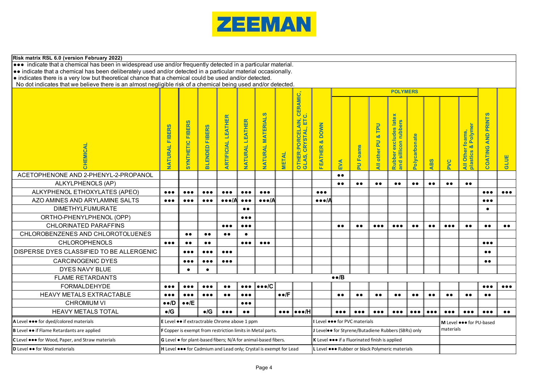

| Risk matrix RSL 6.0 (version February 2022)                                                                                                                                                                           |                                 |                                                                                         |                                               |                               |                                  |                                                                |                      |                                                                 |                                                                     |                         |                                                                      |                           |                                                                                         |                         |                         |                         |                                               |                                     |                         |
|-----------------------------------------------------------------------------------------------------------------------------------------------------------------------------------------------------------------------|---------------------------------|-----------------------------------------------------------------------------------------|-----------------------------------------------|-------------------------------|----------------------------------|----------------------------------------------------------------|----------------------|-----------------------------------------------------------------|---------------------------------------------------------------------|-------------------------|----------------------------------------------------------------------|---------------------------|-----------------------------------------------------------------------------------------|-------------------------|-------------------------|-------------------------|-----------------------------------------------|-------------------------------------|-------------------------|
| ••• indicate that a chemical has been in widespread use and/or frequently detected in a particular material.                                                                                                          |                                 |                                                                                         |                                               |                               |                                  |                                                                |                      |                                                                 |                                                                     |                         |                                                                      |                           |                                                                                         |                         |                         |                         |                                               |                                     |                         |
| • indicate that a chemical has been deliberately used and/or detected in a particular material occasionally.<br>• indicates there is a very low but theoretical chance that a chemical could be used and/or detected. |                                 |                                                                                         |                                               |                               |                                  |                                                                |                      |                                                                 |                                                                     |                         |                                                                      |                           |                                                                                         |                         |                         |                         |                                               |                                     |                         |
| No dot indicates that we believe there is an almost negligible risk of a chemical being used and/or detected.                                                                                                         |                                 |                                                                                         |                                               |                               |                                  |                                                                |                      |                                                                 |                                                                     |                         |                                                                      |                           |                                                                                         |                         |                         |                         |                                               |                                     |                         |
|                                                                                                                                                                                                                       |                                 | <b>POLYMERS</b>                                                                         |                                               |                               |                                  |                                                                |                      |                                                                 |                                                                     |                         |                                                                      |                           |                                                                                         |                         |                         |                         |                                               |                                     |                         |
| CHEMICAL                                                                                                                                                                                                              | <b>FIBERS</b><br><b>NATURAL</b> | <b>FIBERS</b><br>SYNTHETIC                                                              | <b>FIBERS</b><br><b>BLENDED</b>               | <b>ARTIFICIAL LEATHER</b>     | <b>LEATHER</b><br><b>NATURAL</b> | <b>NATURAL MATERIALS</b>                                       | <b>METAL</b>         | <b>CERAMIC,</b><br>ن<br>OTHER: PORCELAIN,<br>GLAS, CRYSTAL, ETC | <b>DOWN</b><br>ಕ<br><b>FEATHER</b>                                  | EVA                     | <b>PU Foams</b>                                                      | TPU<br>ಂಶ<br>All other PU | excludes late<br>rubbers<br>sillicon<br>$\mathbf{S}_{\text{max}}$<br>Rubber<br>and sill | Polycarbonate           | <b>ABS</b>              | PVC                     | Polyme<br>All Other foams<br>plastics & Polyr | ທ<br><b>PRINT</b><br>AND<br>COATING | <b>GLUE</b>             |
| ACETOPHENONE AND 2-PHENYL-2-PROPANOL                                                                                                                                                                                  |                                 |                                                                                         |                                               |                               |                                  |                                                                |                      |                                                                 |                                                                     | $\bullet \bullet$       |                                                                      |                           |                                                                                         |                         |                         |                         |                                               |                                     |                         |
| <b>ALKYLPHENOLS (AP)</b>                                                                                                                                                                                              |                                 |                                                                                         |                                               |                               |                                  |                                                                |                      |                                                                 |                                                                     | $\bullet\bullet$        | $\bullet \bullet$                                                    | $\bullet \bullet$         | $\bullet\bullet$                                                                        | $\bullet\bullet$        | $\bullet\bullet$        | $\bullet\bullet$        | $\bullet\bullet$                              |                                     |                         |
| ALKYPHENOL ETHOXYLATES (APEO)                                                                                                                                                                                         | $\bullet\bullet\bullet$         | $\bullet\bullet\bullet$                                                                 | $\bullet\bullet\bullet$                       | $\bullet\bullet\bullet$       | $\bullet\bullet\bullet$          | $\bullet\bullet\bullet$                                        |                      |                                                                 | $\bullet\bullet\bullet$                                             |                         |                                                                      |                           |                                                                                         |                         |                         |                         |                                               | $\bullet\bullet\bullet$             | $\bullet\bullet\bullet$ |
| AZO AMINES AND ARYLAMINE SALTS                                                                                                                                                                                        | $\bullet\bullet\bullet$         | $\bullet\bullet\bullet$                                                                 | $\bullet\bullet\bullet$                       | $\bullet \bullet \bullet / A$ | $\bullet\bullet\bullet$          | $\bullet \bullet \bullet / A$                                  |                      |                                                                 | $\bullet \bullet \bullet /A$                                        |                         |                                                                      |                           |                                                                                         |                         |                         |                         |                                               | $\bullet\bullet\bullet$             |                         |
| <b>DIMETHYLFUMURATE</b>                                                                                                                                                                                               |                                 |                                                                                         |                                               |                               | $\bullet\,\bullet$               |                                                                |                      |                                                                 |                                                                     |                         |                                                                      |                           |                                                                                         |                         |                         |                         |                                               | $\bullet$                           |                         |
| ORTHO-PHENYLPHENOL (OPP)                                                                                                                                                                                              |                                 |                                                                                         |                                               |                               | $\bullet\bullet\bullet$          |                                                                |                      |                                                                 |                                                                     |                         |                                                                      |                           |                                                                                         |                         |                         |                         |                                               |                                     |                         |
| <b>CHLORINATED PARAFFINS</b>                                                                                                                                                                                          |                                 |                                                                                         |                                               | $\bullet\bullet\bullet$       | $\bullet\bullet\bullet$          |                                                                |                      |                                                                 |                                                                     | $\bullet\bullet$        | $\bullet \bullet$                                                    | $\bullet\bullet\bullet$   | $\bullet\bullet\bullet$                                                                 | $\bullet\bullet$        | $\bullet\bullet$        | $\bullet\bullet\bullet$ | $\bullet\,\bullet$                            | $\bullet\bullet$                    | $\bullet\,\bullet$      |
| CHLOROBENZENES AND CHLOROTOLUENES                                                                                                                                                                                     |                                 | $\bullet\bullet$                                                                        | $\bullet\bullet$                              | $\bullet\bullet$              | $\bullet$                        |                                                                |                      |                                                                 |                                                                     |                         |                                                                      |                           |                                                                                         |                         |                         |                         |                                               |                                     |                         |
| <b>CHLOROPHENOLS</b>                                                                                                                                                                                                  | $\bullet\bullet\bullet$         | $\bullet\bullet$                                                                        | $\bullet\bullet$                              |                               | $\bullet\bullet\bullet$          | $\bullet\bullet\bullet$                                        |                      |                                                                 |                                                                     |                         |                                                                      |                           |                                                                                         |                         |                         |                         |                                               | $\bullet\bullet\bullet$             |                         |
| DISPERSE DYES CLASSIFIED TO BE ALLERGENIC                                                                                                                                                                             |                                 | $\bullet\bullet\bullet$                                                                 | $\bullet\bullet\bullet$                       | $\bullet\bullet\bullet$       |                                  |                                                                |                      |                                                                 |                                                                     |                         |                                                                      |                           |                                                                                         |                         |                         |                         |                                               | $\bullet\bullet$                    |                         |
| <b>CARCINOGENIC DYES</b>                                                                                                                                                                                              |                                 | $\bullet\bullet\bullet$                                                                 | $\bullet\bullet\bullet$                       | $\bullet\bullet\bullet$       |                                  |                                                                |                      |                                                                 |                                                                     |                         |                                                                      |                           |                                                                                         |                         |                         |                         |                                               | $\bullet\bullet$                    |                         |
| <b>DYES NAVY BLUE</b>                                                                                                                                                                                                 |                                 | $\bullet$                                                                               | $\bullet$                                     |                               |                                  |                                                                |                      |                                                                 |                                                                     |                         |                                                                      |                           |                                                                                         |                         |                         |                         |                                               |                                     |                         |
| <b>FLAME RETARDANTS</b>                                                                                                                                                                                               |                                 |                                                                                         |                                               |                               |                                  |                                                                |                      |                                                                 |                                                                     | $\bullet \bullet /B$    |                                                                      |                           |                                                                                         |                         |                         |                         |                                               |                                     |                         |
| <b>FORMALDEHYDE</b>                                                                                                                                                                                                   | $\bullet\bullet\bullet$         | $\bullet\bullet\bullet$                                                                 | $\bullet\bullet\bullet$                       | $\bullet\,\bullet$            | $\bullet\bullet\bullet$          | $\bullet \bullet \bullet /C$                                   |                      |                                                                 |                                                                     |                         |                                                                      |                           |                                                                                         |                         |                         |                         |                                               | $\bullet\bullet\bullet$             | $\bullet\bullet\bullet$ |
| HEAVY METALS EXTRACTABLE                                                                                                                                                                                              | $\bullet\bullet\bullet$         | $\bullet\bullet\bullet$                                                                 | $\bullet\bullet\bullet$                       | $\bullet \bullet$             | $\bullet\bullet\bullet$          |                                                                | $\bullet \bullet$ /F |                                                                 |                                                                     | $\bullet\,\bullet$      | $\bullet\bullet$                                                     | $\bullet\bullet$          | $\bullet\bullet$                                                                        | $\bullet\bullet$        | $\bullet\bullet$        | $\bullet$               | $\bullet \bullet$                             | $\bullet\bullet$                    |                         |
| <b>CHROMIUM VI</b>                                                                                                                                                                                                    | $\bullet \bullet /D$            | $\bullet \bullet /E$                                                                    |                                               |                               | $\bullet\bullet\bullet$          |                                                                |                      |                                                                 |                                                                     |                         |                                                                      |                           |                                                                                         |                         |                         |                         |                                               |                                     |                         |
| <b>HEAVY METALS TOTAL</b>                                                                                                                                                                                             | $\bullet$ /G                    |                                                                                         | $\bullet$ /G                                  | $\bullet\bullet\bullet$       | $\bullet\bullet$                 |                                                                |                      | $\bullet \bullet \bullet$ $\bullet \bullet \bullet$ /H          |                                                                     | $\bullet\bullet\bullet$ | $\bullet\bullet\bullet$                                              | $\bullet\bullet\bullet$   | $\bullet\bullet\bullet$                                                                 | $\bullet\bullet\bullet$ | $\bullet\bullet\bullet$ | $\bullet\bullet\bullet$ | $\bullet\bullet\bullet$                       | $\bullet\bullet\bullet$             | $\bullet\bullet$        |
| A Level $\bullet \bullet \bullet$ for dyed/colored materials                                                                                                                                                          |                                 |                                                                                         | E Level •• if extractrable Chrome above 1 ppm |                               |                                  |                                                                |                      |                                                                 |                                                                     |                         | Level ••• for PVC materials                                          |                           |                                                                                         |                         |                         |                         | M Level ●●● for PU-based                      |                                     |                         |
| <b>B</b> Level $\bullet\bullet$ if Flame Retardants are applied                                                                                                                                                       |                                 |                                                                                         |                                               |                               |                                  | F Copper is exempt from restriction limits in Metal parts.     |                      |                                                                 | J Leveloo for Styrene/Butadiene Rubbers (SBRs) only                 |                         |                                                                      |                           |                                                                                         | materials               |                         |                         |                                               |                                     |                         |
| C Level $\bullet \bullet \bullet$ for Wood, Paper, and Straw materials                                                                                                                                                |                                 |                                                                                         |                                               |                               |                                  | G Level • for plant-based fibers; N/A for animal-based fibers. |                      |                                                                 |                                                                     |                         | K Level $\bullet \bullet \bullet$ if a Fluorinated finish is applied |                           |                                                                                         |                         |                         |                         |                                               |                                     |                         |
| D Level $\bullet\bullet$ for Wool materials                                                                                                                                                                           |                                 | H Level $\bullet \bullet \bullet$ for Cadmium and Lead only; Crystal is exempt for Lead |                                               |                               |                                  |                                                                |                      |                                                                 | L Level $\bullet\bullet\bullet$ Rubber or black Polymeric materials |                         |                                                                      |                           |                                                                                         |                         |                         |                         |                                               |                                     |                         |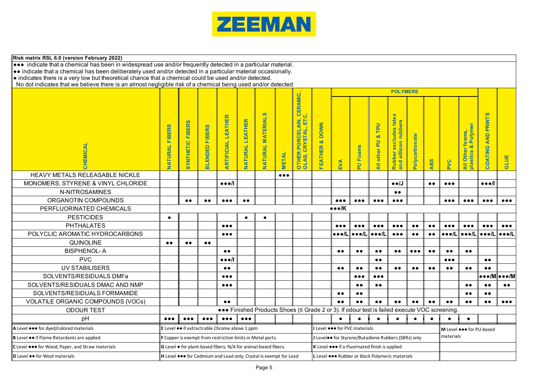

| Risk matrix RSL 6.0 (version February 2022)                                                                                                                                                                           |                          |                                                                                       |                         |                                                                |                         |                          |                         |                                                                                              |                                                     |                               |                                                                      |                              |                                                                                                                         |                         |                    |                         |                                                  |                              |                                                           |
|-----------------------------------------------------------------------------------------------------------------------------------------------------------------------------------------------------------------------|--------------------------|---------------------------------------------------------------------------------------|-------------------------|----------------------------------------------------------------|-------------------------|--------------------------|-------------------------|----------------------------------------------------------------------------------------------|-----------------------------------------------------|-------------------------------|----------------------------------------------------------------------|------------------------------|-------------------------------------------------------------------------------------------------------------------------|-------------------------|--------------------|-------------------------|--------------------------------------------------|------------------------------|-----------------------------------------------------------|
| ••• indicate that a chemical has been in widespread use and/or frequently detected in a particular material.                                                                                                          |                          |                                                                                       |                         |                                                                |                         |                          |                         |                                                                                              |                                                     |                               |                                                                      |                              |                                                                                                                         |                         |                    |                         |                                                  |                              |                                                           |
| • indicate that a chemical has been deliberately used and/or detected in a particular material occasionally.<br>• indicates there is a very low but theoretical chance that a chemical could be used and/or detected. |                          |                                                                                       |                         |                                                                |                         |                          |                         |                                                                                              |                                                     |                               |                                                                      |                              |                                                                                                                         |                         |                    |                         |                                                  |                              |                                                           |
| No dot indicates that we believe there is an almost negligible risk of a chemical being used and/or detected.                                                                                                         |                          |                                                                                       |                         |                                                                |                         |                          |                         |                                                                                              |                                                     |                               |                                                                      |                              |                                                                                                                         |                         |                    |                         |                                                  |                              |                                                           |
|                                                                                                                                                                                                                       |                          |                                                                                       |                         |                                                                |                         |                          |                         |                                                                                              |                                                     |                               |                                                                      |                              | <b>POLYMERS</b>                                                                                                         |                         |                    |                         |                                                  |                              |                                                           |
| CHEMICAL                                                                                                                                                                                                              | <b>FIBERS</b><br>NATURAL | <b>FIBERS</b><br>SYNTHETIC                                                            | <b>BLENDED FIBERS</b>   | <b>ARTIFICIAL LEATHER</b>                                      | NATURAL LEATHER         | <b>NATURAL MATERIALS</b> | <b>METAL</b>            | CERAMIC,<br>ن<br>ELAIN,<br>旵<br>بار<br>ا<br>OTHER: PORCE<br>GLAS, CRYST4                     | <b>DOWN</b><br>øδ<br><b>FEATHER</b>                 |                               | <b>PU Foams</b>                                                      | TPU<br>øδ<br>All other PU    | late<br>rubbers<br><b>es</b><br>clud <sub>®</sub><br>$\blacksquare$<br>$\bullet$<br>$\bullet$<br>sillic<br><b>Rubbe</b> | Polycarbonate           |                    |                         | <b>Polym</b><br><u>ಂಕ</u><br>plastics<br>All Oth | COATING AND PRINTS           | <b>GLUE</b>                                               |
|                                                                                                                                                                                                                       |                          |                                                                                       |                         |                                                                |                         |                          |                         |                                                                                              |                                                     | EVA                           |                                                                      |                              | and                                                                                                                     |                         | ABS                | <b>PVC</b>              |                                                  |                              |                                                           |
| HEAVY METALS RELEASABLE NICKLE                                                                                                                                                                                        |                          |                                                                                       |                         |                                                                |                         |                          | $\bullet\bullet\bullet$ |                                                                                              |                                                     |                               |                                                                      |                              |                                                                                                                         |                         |                    |                         |                                                  |                              |                                                           |
| MONOMERS, STYRENE & VINYL CHLORIDE                                                                                                                                                                                    |                          |                                                                                       |                         | $\bullet\bullet\bullet$ /l                                     |                         |                          |                         |                                                                                              |                                                     |                               |                                                                      |                              | $\bullet \bullet /J$                                                                                                    |                         | $\bullet \bullet$  | $\bullet\bullet\bullet$ |                                                  | $\bullet \bullet \bullet$    |                                                           |
| N-NITROSAMINES                                                                                                                                                                                                        |                          |                                                                                       |                         |                                                                |                         |                          |                         |                                                                                              |                                                     |                               |                                                                      |                              | $\bullet\,\bullet$                                                                                                      |                         |                    |                         |                                                  |                              |                                                           |
| ORGANOTIN COMPOUNDS                                                                                                                                                                                                   |                          | $\bullet\bullet$                                                                      | $\bullet\bullet$        | $\bullet\bullet\bullet$                                        | $\bullet\bullet$        |                          |                         |                                                                                              |                                                     | $\bullet\bullet\bullet$       | $\bullet\bullet\bullet$                                              | $\bullet\bullet\bullet$      | $\bullet\bullet\bullet$                                                                                                 |                         |                    | $\bullet\bullet\bullet$ | $\bullet\bullet\bullet$                          | $\bullet\bullet\bullet$      | $\bullet\bullet\bullet$                                   |
| PERFLUORINATED CHEMICALS                                                                                                                                                                                              |                          |                                                                                       |                         |                                                                |                         |                          |                         |                                                                                              |                                                     | $\bullet \bullet \bullet / K$ |                                                                      |                              |                                                                                                                         |                         |                    |                         |                                                  |                              |                                                           |
| <b>PESTICIDES</b>                                                                                                                                                                                                     | $\bullet$                |                                                                                       |                         |                                                                | $\bullet$               |                          |                         |                                                                                              |                                                     |                               |                                                                      |                              |                                                                                                                         |                         |                    |                         |                                                  |                              |                                                           |
| <b>PHTHALATES</b>                                                                                                                                                                                                     |                          |                                                                                       |                         | $\bullet\bullet\bullet$                                        |                         |                          |                         |                                                                                              |                                                     | $\bullet\bullet\bullet$       | $\bullet\bullet\bullet$                                              | $\bullet\bullet\bullet$      | $\bullet\bullet\bullet$                                                                                                 | $\bullet\,\bullet$      | $\bullet\,\bullet$ | $\bullet\bullet\bullet$ | $\bullet\bullet\bullet$                          | $\bullet\bullet\bullet$      | $\bullet\bullet\bullet$                                   |
| POLYCLIC AROMATIC HYDROCARBONS                                                                                                                                                                                        |                          |                                                                                       |                         | $\bullet\bullet\bullet$                                        |                         |                          |                         |                                                                                              |                                                     | •••∕L                         | $\bullet \bullet \bullet /L$                                         | $\bullet \bullet \bullet /L$ | $\bullet\bullet\bullet$                                                                                                 | $\bullet \bullet$       | $\bullet$          |                         | │●●●/L│●●●/L│                                    | $\bullet \bullet \bullet /L$ | $\bullet \bullet \bullet /L$                              |
| <b>QUINOLINE</b>                                                                                                                                                                                                      | $\bullet\bullet$         | $\bullet\bullet$                                                                      | $\bullet\bullet$        |                                                                |                         |                          |                         |                                                                                              |                                                     |                               |                                                                      |                              |                                                                                                                         |                         |                    |                         |                                                  |                              |                                                           |
| <b>BISPHENOL-A</b>                                                                                                                                                                                                    |                          |                                                                                       |                         | $\bullet\,\bullet$                                             |                         |                          |                         |                                                                                              |                                                     | $\bullet\,\bullet$            | $\bullet\bullet$                                                     | $\bullet\,\bullet$           | $\bullet\,\bullet$                                                                                                      | $\bullet\bullet\bullet$ | $\bullet\,\bullet$ | $\bullet\,\bullet$      | $\bullet\,\bullet$                               |                              |                                                           |
| <b>PVC</b>                                                                                                                                                                                                            |                          |                                                                                       |                         | $\bullet\bullet\bullet$                                        |                         |                          |                         |                                                                                              |                                                     |                               |                                                                      | $\bullet\bullet$             |                                                                                                                         |                         |                    | $\bullet\bullet\bullet$ |                                                  | $\bullet\,\bullet$           |                                                           |
| <b>UV STABILISERS</b>                                                                                                                                                                                                 |                          |                                                                                       |                         | $\bullet\,\bullet$                                             |                         |                          |                         |                                                                                              |                                                     | $\bullet\bullet$              | $\bullet\bullet$                                                     | $\bullet\bullet$             | $\bullet \bullet$                                                                                                       | $\bullet\bullet$        | $\bullet\bullet$   | $\bullet\bullet$        | $\bullet \bullet$                                | $\bullet \bullet$            |                                                           |
| SOLVENTS/RESIDUALS DMFa                                                                                                                                                                                               |                          |                                                                                       |                         | $\bullet\bullet\bullet$                                        |                         |                          |                         |                                                                                              |                                                     |                               | $\bullet\bullet\bullet$                                              | $\bullet\bullet\bullet$      |                                                                                                                         |                         |                    |                         |                                                  |                              | $\bullet \bullet \bullet / M \bullet \bullet \bullet / M$ |
| SOLVENTS/RESIDUALS DMAC AND NMP                                                                                                                                                                                       |                          |                                                                                       |                         | $\bullet\bullet\bullet$                                        |                         |                          |                         |                                                                                              |                                                     |                               | $\bullet\bullet$                                                     | $\bullet\bullet$             |                                                                                                                         |                         |                    |                         | $\bullet\bullet$                                 | $\bullet\bullet$             | $\bullet\,\bullet$                                        |
| SOLVENTS/RESIDUALS FORMAMIDE                                                                                                                                                                                          |                          |                                                                                       |                         |                                                                |                         |                          |                         |                                                                                              |                                                     | $\bullet\bullet$              | $\bullet\bullet$                                                     |                              |                                                                                                                         |                         |                    |                         | $\bullet\bullet$                                 | $\bullet\,\bullet$           |                                                           |
| VOLATILE ORGANIC COMPOUNDS (VOCs)                                                                                                                                                                                     |                          |                                                                                       |                         | $\bullet\bullet$                                               |                         |                          |                         |                                                                                              |                                                     | $\bullet \bullet$             | $\bullet \bullet$                                                    | $\bullet\,\bullet$           | $\bullet\bullet$                                                                                                        | $\bullet\bullet$        | $\bullet \bullet$  | $\bullet\bullet$        | $\bullet\bullet$                                 | $\bullet \bullet$            | $\bullet\bullet\bullet$                                   |
| <b>ODOUR TEST</b>                                                                                                                                                                                                     |                          |                                                                                       |                         |                                                                |                         |                          |                         | ••• Finished Products Shoes (< Grade 2 or 3). If odour test is failed execute VOC screening. |                                                     |                               |                                                                      |                              |                                                                                                                         |                         |                    |                         |                                                  |                              |                                                           |
| рH                                                                                                                                                                                                                    | $\bullet\bullet\bullet$  | $\bullet\bullet\bullet$                                                               | $\bullet\bullet\bullet$ | $\bullet\bullet\bullet$                                        | $\bullet\bullet\bullet$ |                          |                         |                                                                                              |                                                     |                               |                                                                      | $\bullet$                    | $\bullet$                                                                                                               | $\bullet$               | $\bullet$          | $\bullet$               | $\bullet$                                        |                              |                                                           |
| A Level $\bullet \bullet \bullet$ for dyed/colored materials                                                                                                                                                          |                          |                                                                                       |                         | E Level  if extractrable Chrome above 1 ppm                    |                         |                          |                         |                                                                                              |                                                     |                               | I Level $\bullet \bullet \bullet$ for PVC materials                  |                              |                                                                                                                         |                         |                    |                         | M Level $\bullet \bullet \bullet$ for PU-based   |                              |                                                           |
| B Level $\bullet\bullet$ if Flame Retardants are applied                                                                                                                                                              |                          |                                                                                       |                         | F Copper is exempt from restriction limits in Metal parts.     |                         |                          |                         |                                                                                              | J Leveloo for Styrene/Butadiene Rubbers (SBRs) only |                               |                                                                      |                              |                                                                                                                         |                         | materials          |                         |                                                  |                              |                                                           |
| C Level $\bullet \bullet \bullet$ for Wood, Paper, and Straw materials                                                                                                                                                |                          |                                                                                       |                         | G Level • for plant-based fibers; N/A for animal-based fibers. |                         |                          |                         |                                                                                              |                                                     |                               | K Level $\bullet \bullet \bullet$ if a Fluorinated finish is applied |                              |                                                                                                                         |                         |                    |                         |                                                  |                              |                                                           |
| D Level •• for Wool materials                                                                                                                                                                                         |                          | H Level $\bullet\bullet\bullet$ for Cadmium and Lead only; Crystal is exempt for Lead |                         |                                                                |                         |                          |                         | L Level $\bullet \bullet \bullet$ Rubber or black Polymeric materials                        |                                                     |                               |                                                                      |                              |                                                                                                                         |                         |                    |                         |                                                  |                              |                                                           |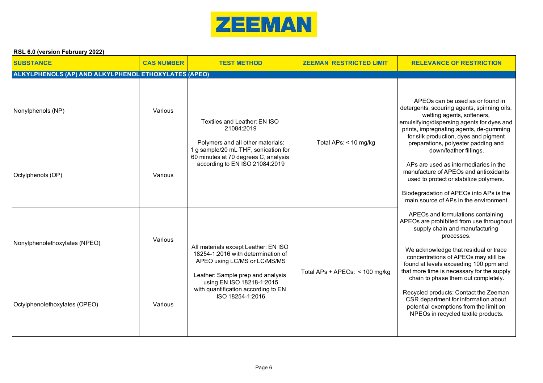

| <b>SUBSTANCE</b>                                     | <b>CAS NUMBER</b> | <b>TEST METHOD</b>                                                                                                        | <b>ZEEMAN RESTRICTED LIMIT</b> | <b>RELEVANCE OF RESTRICTION</b>                                                                                                                                                                                                                                                                       |  |
|------------------------------------------------------|-------------------|---------------------------------------------------------------------------------------------------------------------------|--------------------------------|-------------------------------------------------------------------------------------------------------------------------------------------------------------------------------------------------------------------------------------------------------------------------------------------------------|--|
| ALKYLPHENOLS (AP) AND ALKYLPHENOL ETHOXYLATES (APEO) |                   |                                                                                                                           |                                |                                                                                                                                                                                                                                                                                                       |  |
| Nonylphenols (NP)                                    | Various           | Textiles and Leather: EN ISO<br>21084:2019<br>Polymers and all other materials:                                           | Total APs: < 10 mg/kg          | APEOs can be used as or found in<br>detergents, scouring agents, spinning oils,<br>wetting agents, softeners,<br>emulsifying/dispersing agents for dyes and<br>prints, impregnating agents, de-gumming<br>for silk production, dyes and pigment<br>preparations, polyester padding and                |  |
| Octylphenols (OP)                                    | Various           | 1 g sample/20 mL THF, sonication for<br>60 minutes at 70 degrees C, analysis<br>according to EN ISO 21084:2019            |                                | down/feather fillings.<br>APs are used as intermediaries in the<br>manufacture of APEOs and antioxidants<br>used to protect or stabilize polymers.<br>Biodegradation of APEOs into APs is the<br>main source of APs in the environment.                                                               |  |
| Nonylphenolethoxylates (NPEO)                        | Various           | All materials except Leather: EN ISO<br>18254-1:2016 with determination of<br>APEO using LC/MS or LC/MS/MS                | Total APs + APEOs: < 100 mg/kg | APEOs and formulations containing<br>APEOs are prohibited from use throughout<br>supply chain and manufacturing<br>processes.<br>We acknowledge that residual or trace<br>concentrations of APEOs may still be<br>found at levels exceeding 100 ppm and<br>that more time is necessary for the supply |  |
| Octylphenolethoxylates (OPEO)                        | Various           | Leather: Sample prep and analysis<br>using EN ISO 18218-1:2015<br>with quantification according to EN<br>ISO 18254-1:2016 |                                | chain to phase them out completely.<br>Recycled products: Contact the Zeeman<br>CSR department for information about<br>potential exemptions from the limit on<br>NPEOs in recycled textile products.                                                                                                 |  |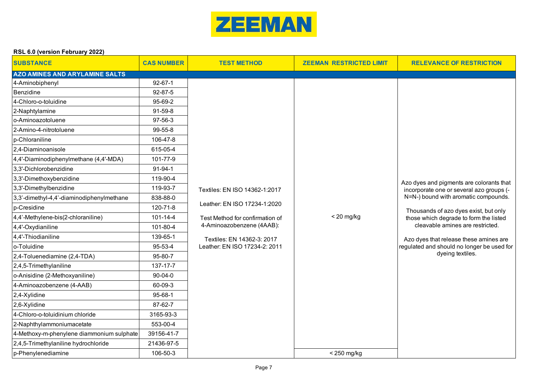

| $1.9 - 0.0$ , $1.9 - 0.01$ , $0.9 - 0.01$ |                   |                                 |                                |                                                                                                                      |
|-------------------------------------------|-------------------|---------------------------------|--------------------------------|----------------------------------------------------------------------------------------------------------------------|
| <b>SUBSTANCE</b>                          | <b>CAS NUMBER</b> | <b>TEST METHOD</b>              | <b>ZEEMAN RESTRICTED LIMIT</b> | <b>RELEVANCE OF RESTRICTION</b>                                                                                      |
| <b>AZO AMINES AND ARYLAMINE SALTS</b>     |                   |                                 |                                |                                                                                                                      |
| 4-Aminobiphenyl                           | $92 - 67 - 1$     |                                 |                                |                                                                                                                      |
| Benzidine                                 | 92-87-5           |                                 |                                |                                                                                                                      |
| 4-Chloro-o-toluidine                      | 95-69-2           |                                 |                                |                                                                                                                      |
| 2-Naphtylamine                            | 91-59-8           |                                 |                                |                                                                                                                      |
| o-Aminoazotoluene                         | 97-56-3           |                                 |                                |                                                                                                                      |
| 2-Amino-4-nitrotoluene                    | 99-55-8           |                                 |                                |                                                                                                                      |
| p-Chloraniline                            | 106-47-8          |                                 |                                |                                                                                                                      |
| 2,4-Diaminoanisole                        | 615-05-4          |                                 |                                |                                                                                                                      |
| 4,4'-Diaminodiphenylmethane (4,4'-MDA)    | 101-77-9          |                                 |                                |                                                                                                                      |
| 3,3'-Dichlorobenzidine                    | 91-94-1           |                                 |                                |                                                                                                                      |
| 3,3'-Dimethoxybenzidine                   | 119-90-4          |                                 |                                | Azo dyes and pigments are colorants that                                                                             |
| 3,3'-Dimethylbenzidine                    | 119-93-7          | Textiles: EN ISO 14362-1:2017   |                                | incorporate one or several azo groups (-                                                                             |
| 3,3'-dimethyl-4,4'-diaminodiphenylmethane | 838-88-0          |                                 |                                | N=N-) bound with aromatic compounds.                                                                                 |
| p-Cresidine                               | 120-71-8          | Leather: EN ISO 17234-1:2020    |                                | Thousands of azo dyes exist, but only                                                                                |
| 4,4'-Methylene-bis(2-chloraniline)        | 101-14-4          | Test Method for confirmation of | $<$ 20 mg/kg                   | those which degrade to form the listed<br>cleavable amines are restricted.<br>Azo dyes that release these amines are |
| 4,4'-Oxydianiline                         | 101-80-4          | 4-Aminoazobenzene (4AAB):       |                                |                                                                                                                      |
| 4,4'-Thiodianiline                        | 139-65-1          | Textiles: EN 14362-3: 2017      |                                |                                                                                                                      |
| o-Toluidine                               | 95-53-4           | Leather: EN ISO 17234-2: 2011   |                                | regulated and should no longer be used for                                                                           |
| 2,4-Toluenediamine (2,4-TDA)              | 95-80-7           |                                 |                                | dyeing textiles.                                                                                                     |
| 2,4,5-Trimethylaniline                    | 137-17-7          |                                 |                                |                                                                                                                      |
| o-Anisidine (2-Methoxyaniline)            | $90 - 04 - 0$     |                                 |                                |                                                                                                                      |
| 4-Aminoazobenzene (4-AAB)                 | 60-09-3           |                                 |                                |                                                                                                                      |
| 2,4-Xylidine                              | 95-68-1           |                                 |                                |                                                                                                                      |
| 2,6-Xylidine                              | 87-62-7           |                                 |                                |                                                                                                                      |
| 4-Chloro-o-toluidinium chloride           | 3165-93-3         |                                 |                                |                                                                                                                      |
| 2-Naphthylammoniumacetate                 | 553-00-4          |                                 |                                |                                                                                                                      |
| 4-Methoxy-m-phenylene diammonium sulphate | 39156-41-7        |                                 |                                |                                                                                                                      |
| 2,4,5-Trimethylaniline hydrochloride      | 21436-97-5        |                                 |                                |                                                                                                                      |
| p-Phenylenediamine                        | 106-50-3          |                                 | < 250 mg/kg                    |                                                                                                                      |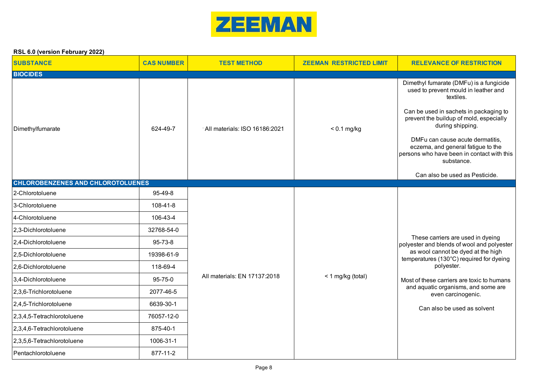

| <b>SUBSTANCE</b>                         | <b>CAS NUMBER</b> | <b>TEST METHOD</b>            | <b>ZEEMAN RESTRICTED LIMIT</b> | <b>RELEVANCE OF RESTRICTION</b>                                                                                                                                                                                                                                                                                                                                               |
|------------------------------------------|-------------------|-------------------------------|--------------------------------|-------------------------------------------------------------------------------------------------------------------------------------------------------------------------------------------------------------------------------------------------------------------------------------------------------------------------------------------------------------------------------|
| <b>BIOCIDES</b>                          |                   |                               |                                |                                                                                                                                                                                                                                                                                                                                                                               |
| Dimethylfumarate                         | 624-49-7          | All materials: ISO 16186:2021 | $< 0.1$ mg/kg                  | Dimethyl fumarate (DMFu) is a fungicide<br>used to prevent mould in leather and<br>textiles.<br>Can be used in sachets in packaging to<br>prevent the buildup of mold, especially<br>during shipping.<br>DMFu can cause acute dermatitis,<br>eczema, and general fatigue to the<br>persons who have been in contact with this<br>substance.<br>Can also be used as Pesticide. |
| <b>CHLOROBENZENES AND CHLOROTOLUENES</b> |                   |                               |                                |                                                                                                                                                                                                                                                                                                                                                                               |
| 2-Chlorotoluene                          | 95-49-8           |                               |                                |                                                                                                                                                                                                                                                                                                                                                                               |
| 3-Chlorotoluene                          | 108-41-8          |                               |                                |                                                                                                                                                                                                                                                                                                                                                                               |
| 4-Chlorotoluene                          | 106-43-4          |                               |                                |                                                                                                                                                                                                                                                                                                                                                                               |
| 2,3-Dichlorotoluene                      | 32768-54-0        |                               |                                |                                                                                                                                                                                                                                                                                                                                                                               |
| 2,4-Dichlorotoluene                      | 95-73-8           |                               |                                | These carriers are used in dyeing<br>polyester and blends of wool and polyester                                                                                                                                                                                                                                                                                               |
| 2,5-Dichlorotoluene                      | 19398-61-9        |                               |                                | as wool cannot be dyed at the high<br>temperatures (130°C) required for dyeing                                                                                                                                                                                                                                                                                                |
| 2,6-Dichlorotoluene                      | 118-69-4          |                               |                                | polyester.                                                                                                                                                                                                                                                                                                                                                                    |
| 3,4-Dichlorotoluene                      | 95-75-0           | All materials: EN 17137:2018  | < 1 mg/kg (total)              | Most of these carriers are toxic to humans                                                                                                                                                                                                                                                                                                                                    |
| 2,3,6-Trichlorotoluene                   | 2077-46-5         |                               |                                | and aquatic organisms, and some are<br>even carcinogenic.                                                                                                                                                                                                                                                                                                                     |
| 2,4,5-Trichlorotoluene                   | 6639-30-1         |                               |                                | Can also be used as solvent                                                                                                                                                                                                                                                                                                                                                   |
| 2,3,4,5-Tetrachlorotoluene               | 76057-12-0        |                               |                                |                                                                                                                                                                                                                                                                                                                                                                               |
| 2,3,4,6-Tetrachlorotoluene               | 875-40-1          |                               |                                |                                                                                                                                                                                                                                                                                                                                                                               |
| 2,3,5,6-Tetrachlorotoluene               | 1006-31-1         |                               |                                |                                                                                                                                                                                                                                                                                                                                                                               |
| Pentachlorotoluene                       | 877-11-2          |                               |                                |                                                                                                                                                                                                                                                                                                                                                                               |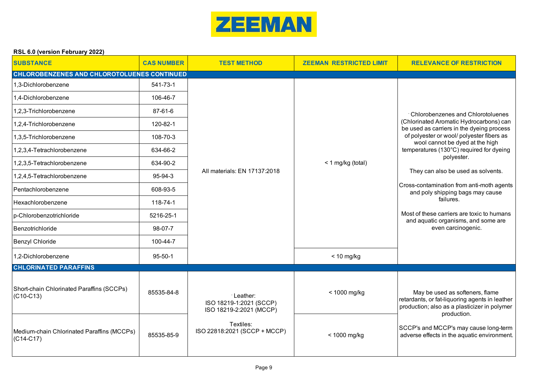

|  | RSL 6.0 (version February 2022) |  |
|--|---------------------------------|--|
|  |                                 |  |

| <b>SUBSTANCE</b>                                          | <b>CAS NUMBER</b> | <b>TEST METHOD</b>                                              | <b>ZEEMAN RESTRICTED LIMIT</b> | <b>RELEVANCE OF RESTRICTION</b>                                                                                                                  |
|-----------------------------------------------------------|-------------------|-----------------------------------------------------------------|--------------------------------|--------------------------------------------------------------------------------------------------------------------------------------------------|
| <b>CHLOROBENZENES AND CHLOROTOLUENES CONTINUED</b>        |                   |                                                                 |                                |                                                                                                                                                  |
| 1,3-Dichlorobenzene                                       | 541-73-1          |                                                                 |                                |                                                                                                                                                  |
| 1,4-Dichlorobenzene                                       | 106-46-7          |                                                                 |                                |                                                                                                                                                  |
| 1,2,3-Trichlorobenzene                                    | 87-61-6           |                                                                 |                                | : Chlorobenzenes and Chlorotoluenes                                                                                                              |
| 1,2,4-Trichlorobenzene                                    | 120-82-1          |                                                                 |                                | (Chlorinated Aromatic Hydrocarbons) can<br>be used as carriers in the dyeing process                                                             |
| 1,3,5-Trichlorobenzene                                    | 108-70-3          |                                                                 |                                | of polyester or wool/ polyester fibers as<br>wool cannot be dyed at the high                                                                     |
| 1,2,3,4-Tetrachlorobenzene                                | 634-66-2          |                                                                 |                                | temperatures (130°C) required for dyeing<br>polyester.                                                                                           |
| 1,2,3,5-Tetrachlorobenzene                                | 634-90-2          |                                                                 | < 1 mg/kg (total)              |                                                                                                                                                  |
| 1,2,4,5-Tetrachlorobenzene                                | 95-94-3           | All materials: EN 17137:2018                                    |                                | They can also be used as solvents.                                                                                                               |
| Pentachlorobenzene                                        | 608-93-5          |                                                                 |                                | Cross-contamination from anti-moth agents<br>and poly shipping bags may cause                                                                    |
| Hexachlorobenzene                                         | 118-74-1          |                                                                 |                                | failures.                                                                                                                                        |
| p-Chlorobenzotrichloride                                  | 5216-25-1         |                                                                 |                                | Most of these carriers are toxic to humans<br>and aquatic organisms, and some are                                                                |
| Benzotrichloride                                          | 98-07-7           |                                                                 |                                | even carcinogenic.                                                                                                                               |
| <b>Benzyl Chloride</b>                                    | 100-44-7          |                                                                 |                                |                                                                                                                                                  |
| 1,2-Dichlorobenzene                                       | $95 - 50 - 1$     |                                                                 | $< 10$ mg/kg                   |                                                                                                                                                  |
| <b>CHLORINATED PARAFFINS</b>                              |                   |                                                                 |                                |                                                                                                                                                  |
| Short-chain Chlorinated Paraffins (SCCPs)<br>$(C10-C13)$  | 85535-84-8        | ·Leather:<br>ISO 18219-1:2021 (SCCP)<br>ISO 18219-2:2021 (MCCP) | < 1000 mg/kg                   | May be used as softeners, flame<br>retardants, or fat-liquoring agents in leather<br>production; also as a plasticizer in polymer<br>production. |
| Medium-chain Chlorinated Paraffins (MCCPs)<br>$(C14-C17)$ | 85535-85-9        | Textiles:<br>ISO 22818:2021 (SCCP + MCCP)                       | < 1000 mg/kg                   | SCCP's and MCCP's may cause long-term<br>adverse effects in the aquatic environment.                                                             |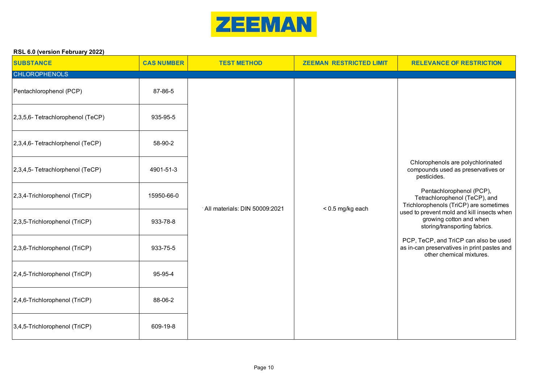

| <b>SUBSTANCE</b><br><b>CHLOROPHENOLS</b> | <b>CAS NUMBER</b> | <b>TEST METHOD</b>            | <b>ZEEMAN RESTRICTED LIMIT</b> | <b>RELEVANCE OF RESTRICTION</b>                                                                                  |
|------------------------------------------|-------------------|-------------------------------|--------------------------------|------------------------------------------------------------------------------------------------------------------|
| Pentachlorophenol (PCP)                  | 87-86-5           |                               |                                |                                                                                                                  |
| 2,3,5,6- Tetrachlorophenol (TeCP)        | 935-95-5          |                               |                                |                                                                                                                  |
| 2,3,4,6- Tetrachlorphenol (TeCP)         | 58-90-2           | All materials: DIN 50009:2021 |                                |                                                                                                                  |
| 2,3,4,5- Tetrachlorphenol (TeCP)         | 4901-51-3         |                               |                                | Chlorophenols are polychlorinated<br>compounds used as preservatives or<br>pesticides.                           |
| 2,3,4-Trichlorophenol (TriCP)            | 15950-66-0        |                               | < 0.5 mg/kg each               | Pentachlorophenol (PCP),<br>Tetrachlorophenol (TeCP), and<br>Trichlorophenols (TriCP) are sometimes              |
| 2,3,5-Trichlorophenol (TriCP)            | 933-78-8          |                               |                                | used to prevent mold and kill insects when<br>growing cotton and when<br>storing/transporting fabrics.           |
| 2,3,6-Trichlorophenol (TriCP)            | 933-75-5          |                               |                                | PCP, TeCP, and TriCP can also be used<br>as in-can preservatives in print pastes and<br>other chemical mixtures. |
| 2,4,5-Trichlorophenol (TriCP)            | 95-95-4           |                               |                                |                                                                                                                  |
| 2,4,6-Trichlorophenol (TriCP)            | 88-06-2           |                               |                                |                                                                                                                  |
| 3,4,5-Trichlorophenol (TriCP)            | 609-19-8          |                               |                                |                                                                                                                  |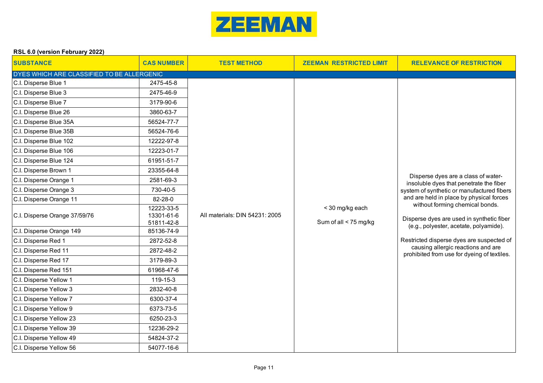

| <b>SUBSTANCE</b>                           | <b>CAS NUMBER</b>                      | <b>TEST METHOD</b>             | <b>ZEEMAN RESTRICTED LIMIT</b>           | <b>RELEVANCE OF RESTRICTION</b>                                                                                                                                                                                  |
|--------------------------------------------|----------------------------------------|--------------------------------|------------------------------------------|------------------------------------------------------------------------------------------------------------------------------------------------------------------------------------------------------------------|
| DYES WHICH ARE CLASSIFIED TO BE ALLERGENIC |                                        |                                |                                          |                                                                                                                                                                                                                  |
| C.I. Disperse Blue 1                       | 2475-45-8                              |                                |                                          |                                                                                                                                                                                                                  |
| C.I. Disperse Blue 3                       | 2475-46-9                              |                                |                                          |                                                                                                                                                                                                                  |
| C.I. Disperse Blue 7                       | 3179-90-6                              |                                |                                          |                                                                                                                                                                                                                  |
| C.I. Disperse Blue 26                      | 3860-63-7                              |                                |                                          |                                                                                                                                                                                                                  |
| C.I. Disperse Blue 35A                     | 56524-77-7                             |                                |                                          |                                                                                                                                                                                                                  |
| C.I. Disperse Blue 35B                     | 56524-76-6                             |                                |                                          |                                                                                                                                                                                                                  |
| C.I. Disperse Blue 102                     | 12222-97-8                             |                                |                                          |                                                                                                                                                                                                                  |
| C.I. Disperse Blue 106                     | 12223-01-7                             |                                |                                          |                                                                                                                                                                                                                  |
| C.I. Disperse Blue 124                     | 61951-51-7                             |                                |                                          |                                                                                                                                                                                                                  |
| C.I. Disperse Brown 1                      | 23355-64-8                             |                                |                                          |                                                                                                                                                                                                                  |
| C.I. Disperse Orange 1                     | 2581-69-3                              |                                |                                          | Disperse dyes are a class of water-<br>insoluble dyes that penetrate the fiber                                                                                                                                   |
| C.I. Disperse Orange 3                     | 730-40-5                               |                                | < 30 mg/kg each<br>Sum of all < 75 mg/kg | system of synthetic or manufactured fibers<br>and are held in place by physical forces<br>without forming chemical bonds.<br>Disperse dyes are used in synthetic fiber<br>(e.g., polyester, acetate, polyamide). |
| C.I. Disperse Orange 11                    | 82-28-0                                |                                |                                          |                                                                                                                                                                                                                  |
| C.I. Disperse Orange 37/59/76              | 12223-33-5<br>13301-61-6<br>51811-42-8 | All materials: DIN 54231: 2005 |                                          |                                                                                                                                                                                                                  |
| C.I. Disperse Orange 149                   | 85136-74-9                             |                                |                                          |                                                                                                                                                                                                                  |
| C.I. Disperse Red 1                        | 2872-52-8                              |                                |                                          | Restricted disperse dyes are suspected of                                                                                                                                                                        |
| C.I. Disperse Red 11                       | 2872-48-2                              |                                |                                          | causing allergic reactions and are<br>prohibited from use for dyeing of textiles.                                                                                                                                |
| C.I. Disperse Red 17                       | 3179-89-3                              |                                |                                          |                                                                                                                                                                                                                  |
| C.I. Disperse Red 151                      | 61968-47-6                             |                                |                                          |                                                                                                                                                                                                                  |
| C.I. Disperse Yellow 1                     | 119-15-3                               |                                |                                          |                                                                                                                                                                                                                  |
| C.I. Disperse Yellow 3                     | 2832-40-8                              |                                |                                          |                                                                                                                                                                                                                  |
| C.I. Disperse Yellow 7                     | 6300-37-4                              |                                |                                          |                                                                                                                                                                                                                  |
| C.I. Disperse Yellow 9                     | 6373-73-5                              |                                |                                          |                                                                                                                                                                                                                  |
| C.I. Disperse Yellow 23                    | 6250-23-3                              |                                |                                          |                                                                                                                                                                                                                  |
| C.I. Disperse Yellow 39                    | 12236-29-2                             |                                |                                          |                                                                                                                                                                                                                  |
| C.I. Disperse Yellow 49                    | 54824-37-2                             |                                |                                          |                                                                                                                                                                                                                  |
| C.I. Disperse Yellow 56                    | 54077-16-6                             |                                |                                          |                                                                                                                                                                                                                  |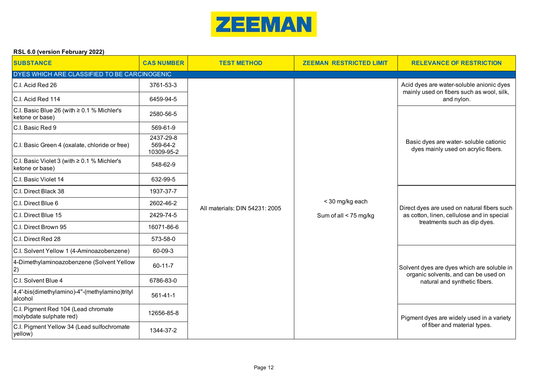

| <b>SUBSTANCE</b>                                               | <b>CAS NUMBER</b>                   | <b>TEST METHOD</b>             | <b>ZEEMAN RESTRICTED LIMIT</b> | <b>RELEVANCE OF RESTRICTION</b>                                                       |
|----------------------------------------------------------------|-------------------------------------|--------------------------------|--------------------------------|---------------------------------------------------------------------------------------|
| DYES WHICH ARE CLASSIFIED TO BE CARCINOGENIC                   |                                     |                                |                                |                                                                                       |
| C.I. Acid Red 26                                               | 3761-53-3                           |                                |                                | Acid dyes are water-soluble anionic dyes<br>mainly used on fibers such as wool, silk, |
| C.I. Acid Red 114                                              | 6459-94-5                           |                                |                                | and nylon.                                                                            |
| C.I. Basic Blue 26 (with ≥ 0.1 % Michler's<br>ketone or base)  | 2580-56-5                           |                                |                                |                                                                                       |
| C.I. Basic Red 9                                               | 569-61-9                            |                                |                                |                                                                                       |
| C.I. Basic Green 4 (oxalate, chloride or free)                 | 2437-29-8<br>569-64-2<br>10309-95-2 |                                |                                | Basic dyes are water-soluble cationic<br>dyes mainly used on acrylic fibers.          |
| C.I. Basic Violet 3 (with ≥ 0.1 % Michler's<br>ketone or base) | 548-62-9                            |                                |                                |                                                                                       |
| C.I. Basic Violet 14                                           | 632-99-5                            |                                |                                |                                                                                       |
| C.I. Direct Black 38                                           | 1937-37-7                           |                                |                                |                                                                                       |
| C.I. Direct Blue 6                                             | 2602-46-2                           | All materials: DIN 54231: 2005 | < 30 mg/kg each                | Direct dyes are used on natural fibers such                                           |
| C.I. Direct Blue 15                                            | 2429-74-5                           |                                | Sum of all < 75 mg/kg          | as cotton, linen, cellulose and in special                                            |
| C.I. Direct Brown 95                                           | 16071-86-6                          |                                |                                | treatments such as dip dyes.                                                          |
| C.I. Direct Red 28                                             | 573-58-0                            |                                |                                |                                                                                       |
| C.I. Solvent Yellow 1 (4-Aminoazobenzene)                      | 60-09-3                             |                                |                                |                                                                                       |
| 4-Dimethylaminoazobenzene (Solvent Yellow<br>2)                | 60-11-7                             |                                |                                | Solvent dyes are dyes which are soluble in<br>organic solvents, and can be used on    |
| C.I. Solvent Blue 4                                            | 6786-83-0                           |                                |                                | natural and synthetic fibers.                                                         |
| 4,4'-bis(dimethylamino)-4"-(methylamino)trityl<br>alcohol      | $561 - 41 - 1$                      |                                |                                |                                                                                       |
| C.I. Pigment Red 104 (Lead chromate<br>molybdate sulphate red) | 12656-85-8                          |                                |                                | Pigment dyes are widely used in a variety                                             |
| C.I. Pigment Yellow 34 (Lead sulfochromate<br>yellow)          | 1344-37-2                           |                                |                                | of fiber and material types.                                                          |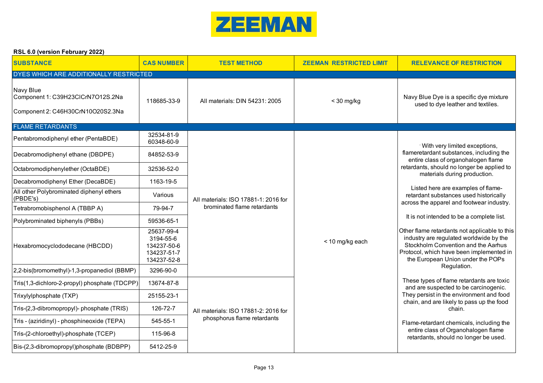

| <b>SUBSTANCE</b>                                                                    | <b>CAS NUMBER</b>                                                    | <b>TEST METHOD</b>                   | <b>ZEEMAN RESTRICTED LIMIT</b> | <b>RELEVANCE OF RESTRICTION</b>                                                                                                                                                                                  |
|-------------------------------------------------------------------------------------|----------------------------------------------------------------------|--------------------------------------|--------------------------------|------------------------------------------------------------------------------------------------------------------------------------------------------------------------------------------------------------------|
| DYES WHICH ARE ADDITIONALLY RESTRICTED                                              |                                                                      |                                      |                                |                                                                                                                                                                                                                  |
| Navy Blue<br>Component 1: C39H23CICrN7O12S.2Na<br>Component 2: C46H30CrN10O20S2.3Na | 118685-33-9                                                          | All materials: DIN 54231: 2005       | $<$ 30 mg/kg                   | Navy Blue Dye is a specific dye mixture<br>used to dye leather and textiles.                                                                                                                                     |
| <b>FLAME RETARDANTS</b>                                                             |                                                                      |                                      |                                |                                                                                                                                                                                                                  |
| Pentabromodiphenyl ether (PentaBDE)                                                 | 32534-81-9<br>60348-60-9                                             |                                      |                                | · With very limited exceptions,                                                                                                                                                                                  |
| Decabromodiphenyl ethane (DBDPE)                                                    | 84852-53-9                                                           |                                      |                                | flameretardant substances, including the<br>entire class of organohalogen flame                                                                                                                                  |
| Octabromodiphenylether (OctaBDE)                                                    | 32536-52-0                                                           |                                      |                                | retardants, should no longer be applied to<br>materials during production.                                                                                                                                       |
| Decabromodiphenyl Ether (DecaBDE)                                                   | 1163-19-5                                                            |                                      | < 10 mg/kg each                | Listed here are examples of flame-                                                                                                                                                                               |
| All other Polybrominated diphenyl ethers<br>(PBDE's)                                | Various                                                              | All materials: ISO 17881-1: 2016 for |                                | retardant substances used historically<br>across the apparel and footwear industry.                                                                                                                              |
| Tetrabromobisphenol A (TBBP A)                                                      | 79-94-7                                                              | brominated flame retardants          |                                |                                                                                                                                                                                                                  |
| Polybrominated biphenyls (PBBs)                                                     | 59536-65-1                                                           |                                      |                                | It is not intended to be a complete list.                                                                                                                                                                        |
| Hexabromocyclododecane (HBCDD)                                                      | 25637-99-4<br>3194-55-6<br>134237-50-6<br>134237-51-7<br>134237-52-8 |                                      |                                | Other flame retardants not applicable to this<br>industry are regulated worldwide by the<br>Stockholm Convention and the Aarhus<br>Protocol, which have been implemented in<br>the European Union under the POPs |
| 2,2-bis(bromomethyl)-1,3-propanediol (BBMP)                                         | 3296-90-0                                                            |                                      |                                | Regulation.                                                                                                                                                                                                      |
| Tris(1,3-dichloro-2-propyl) phosphate (TDCPP)                                       | 13674-87-8                                                           |                                      |                                | These types of flame retardants are toxic<br>and are suspected to be carcinogenic.                                                                                                                               |
| Trixylylphosphate (TXP)                                                             | 25155-23-1                                                           |                                      |                                | They persist in the environment and food<br>chain, and are likely to pass up the food                                                                                                                            |
| Tris-(2,3-dibromopropyl)- phosphate (TRIS)                                          | 126-72-7                                                             | All materials: ISO 17881-2: 2016 for |                                | chain.                                                                                                                                                                                                           |
| Tris - (aziridinyl) - phosphineoxide (TEPA)                                         | 545-55-1                                                             | phosphorus flame retardants          |                                | Flame-retardant chemicals, including the                                                                                                                                                                         |
| Tris-(2-chloroethyl)-phosphate (TCEP)                                               | 115-96-8                                                             |                                      |                                | entire class of Organohalogen flame<br>retardants, should no longer be used.                                                                                                                                     |
| Bis-(2,3-dibromopropyl)phosphate (BDBPP)                                            | 5412-25-9                                                            |                                      |                                |                                                                                                                                                                                                                  |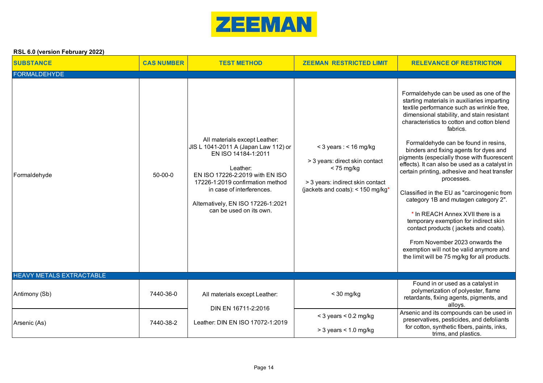

| <b>SUBSTANCE</b>                | <b>CAS NUMBER</b> | <b>TEST METHOD</b>                                                                                                                                                                                                                                                            | <b>ZEEMAN RESTRICTED LIMIT</b>                                                                                                                                      | <b>RELEVANCE OF RESTRICTION</b>                                                                                                                                                                                                                                                                                                                                                                                                                                                                                                                                                                                                                                                                                                                                                                                                      |
|---------------------------------|-------------------|-------------------------------------------------------------------------------------------------------------------------------------------------------------------------------------------------------------------------------------------------------------------------------|---------------------------------------------------------------------------------------------------------------------------------------------------------------------|--------------------------------------------------------------------------------------------------------------------------------------------------------------------------------------------------------------------------------------------------------------------------------------------------------------------------------------------------------------------------------------------------------------------------------------------------------------------------------------------------------------------------------------------------------------------------------------------------------------------------------------------------------------------------------------------------------------------------------------------------------------------------------------------------------------------------------------|
| <b>FORMALDEHYDE</b>             |                   |                                                                                                                                                                                                                                                                               |                                                                                                                                                                     |                                                                                                                                                                                                                                                                                                                                                                                                                                                                                                                                                                                                                                                                                                                                                                                                                                      |
| Formaldehyde                    | $50-00-0$         | All materials except Leather:<br>JIS L 1041-2011 A (Japan Law 112) or<br>EN ISO 14184-1:2011<br>Leather:<br>EN ISO 17226-2:2019 with EN ISO<br>17226-1:2019 confirmation method<br>in case of interferences.<br>Alternatively, EN ISO 17226-1:2021<br>can be used on its own. | $<$ 3 years : $<$ 16 mg/kg<br>> 3 years: direct skin contact<br>$<$ 75 mg/kg<br>> 3 years: indirect skin contact<br>(jackets and coats): < $150$ mg/kg <sup>*</sup> | Formaldehyde can be used as one of the<br>starting materials in auxiliaries imparting<br>textile performance such as wrinkle free,<br>dimensional stability, and stain resistant<br>characteristics to cotton and cotton blend<br>fabrics.<br>Formaldehyde can be found in resins,<br>binders and fixing agents for dyes and<br>pigments (especially those with fluorescent<br>effects). It can also be used as a catalyst in<br>certain printing, adhesive and heat transfer<br>processes.<br>Classified in the EU as "carcinogenic from<br>category 1B and mutagen category 2".<br>* In REACH Annex XVII there is a<br>temporary exemption for indirect skin<br>contact products (jackets and coats).<br>From November 2023 onwards the<br>exemption will not be valid anymore and<br>the limit will be 75 mg/kg for all products. |
| <b>HEAVY METALS EXTRACTABLE</b> |                   |                                                                                                                                                                                                                                                                               |                                                                                                                                                                     |                                                                                                                                                                                                                                                                                                                                                                                                                                                                                                                                                                                                                                                                                                                                                                                                                                      |
| Antimony (Sb)                   | 7440-36-0         | All materials except Leather:                                                                                                                                                                                                                                                 | $<$ 30 mg/kg                                                                                                                                                        | Found in or used as a catalyst in<br>polymerization of polyester, flame<br>retardants, fixing agents, pigments, and<br>alloys.                                                                                                                                                                                                                                                                                                                                                                                                                                                                                                                                                                                                                                                                                                       |
| Arsenic (As)                    | 7440-38-2         | DIN EN 16711-2:2016<br>Leather: DIN EN ISO 17072-1:2019                                                                                                                                                                                                                       | $<$ 3 years $<$ 0.2 mg/kg                                                                                                                                           | Arsenic and its compounds can be used in<br>preservatives, pesticides, and defoliants                                                                                                                                                                                                                                                                                                                                                                                                                                                                                                                                                                                                                                                                                                                                                |
|                                 |                   |                                                                                                                                                                                                                                                                               | $>$ 3 years < 1.0 mg/kg                                                                                                                                             | for cotton, synthetic fibers, paints, inks,<br>trims, and plastics.                                                                                                                                                                                                                                                                                                                                                                                                                                                                                                                                                                                                                                                                                                                                                                  |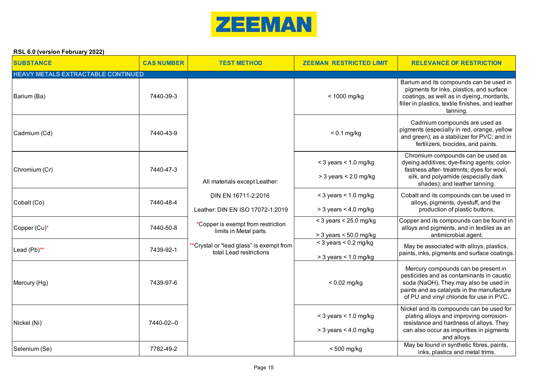

| <b>SUBSTANCE</b>                   | <b>CAS NUMBER</b> | <b>TEST METHOD</b>                                                  | <b>ZEEMAN RESTRICTED LIMIT</b>                       | <b>RELEVANCE OF RESTRICTION</b>                                                                                                                                                                                     |
|------------------------------------|-------------------|---------------------------------------------------------------------|------------------------------------------------------|---------------------------------------------------------------------------------------------------------------------------------------------------------------------------------------------------------------------|
| HEAVY METALS EXTRACTABLE CONTINUED |                   |                                                                     |                                                      |                                                                                                                                                                                                                     |
| Barium (Ba)                        | 7440-39-3         |                                                                     | < 1000 mg/kg                                         | Barium and its compounds can be used in<br>pigments for inks, plastics, and surface<br>coatings, as well as in dyeing, mordants,<br>filler in plastics, textile finishes, and leather<br>tanning.                   |
| Cadmium (Cd)                       | 7440-43-9         |                                                                     | $< 0.1$ mg/kg                                        | Cadmium compounds are used as<br>pigments (especially in red, orange, yellow<br>and green); as a stabilizer for PVC; and in<br>fertilizers, biocides, and paints.                                                   |
| Chromium (Cr)                      | 7440-47-3         |                                                                     | $<$ 3 years $<$ 1.0 mg/kg                            | Chromium compounds can be used as<br>dyeing additives; dye-fixing agents; color-<br>fastness after- treatmnts; dyes for wool,                                                                                       |
|                                    |                   | All materials except Leather:                                       | $>$ 3 years $<$ 2.0 mg/kg                            | silk, and polyamide (especially dark<br>shades); and leather tanning.                                                                                                                                               |
| Cobalt (Co)                        | 7440-48-4         | DIN EN 16711-2:2016                                                 | $<$ 3 years $<$ 1.0 mg/kg                            | Cobalt and its compounds can be used in<br>alloys, pigments, dyestuff, and the                                                                                                                                      |
|                                    |                   | Leather: DIN EN ISO 17072-1:2019                                    | $>$ 3 years < 4.0 mg/kg                              | production of plastic buttons.                                                                                                                                                                                      |
| Copper (Cu)*                       | 7440-50-8         | *Copper is exempt from restriction<br>limits in Metal parts.        | $<$ 3 years $<$ 25.0 mg/kg                           | Copper and its compounds can be found in<br>alloys and pigments, and in textiles as an                                                                                                                              |
|                                    |                   |                                                                     | $>$ 3 years $<$ 50.0 mg/kg                           | antimicrobial agent.                                                                                                                                                                                                |
| Lead (Pb)**                        | 7439-92-1         | **Crystal or "lead glass" is exempt from<br>total Lead restrictions | $<$ 3 years $<$ 0.2 mg/kg                            | May be associated with alloys, plastics,<br>paints, inks, pigments and surface coatings.                                                                                                                            |
|                                    |                   |                                                                     | $>$ 3 years < 1.0 mg/kg                              |                                                                                                                                                                                                                     |
| Mercury (Hg)                       | 7439-97-6         |                                                                     | $< 0.02$ mg/kg                                       | Mercury compounds can be present in<br>pesticides and as contaminants in caustic<br>soda (NaOH). They may also be used in<br>paints and as catalysts in the manufacture<br>of PU and vinyl chloride for use in PVC. |
| Nickel (Ni)                        | 7440-02--0        |                                                                     | $<$ 3 years $<$ 1.0 mg/kg<br>$>$ 3 years < 4.0 mg/kg | Nickel and its compounds can be used for<br>plating alloys and improving corrosion-<br>resistance and hardness of alloys. They<br>can also occur as impurities in pigments                                          |
| Selenium (Se)                      | 7782-49-2         |                                                                     | <500 mg/kg                                           | and alloys.<br>May be found in synthetic fibres, paints,<br>inks, plastics and metal trims.                                                                                                                         |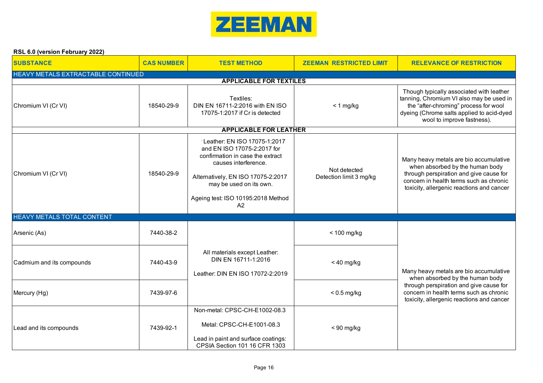

| <b>SUBSTANCE</b>                                                     | <b>CAS NUMBER</b> | <b>TEST METHOD</b>                                                                                                                                                                                                                               | <b>ZEEMAN RESTRICTED LIMIT</b>          | <b>RELEVANCE OF RESTRICTION</b>                                                                                                                                                                              |  |  |
|----------------------------------------------------------------------|-------------------|--------------------------------------------------------------------------------------------------------------------------------------------------------------------------------------------------------------------------------------------------|-----------------------------------------|--------------------------------------------------------------------------------------------------------------------------------------------------------------------------------------------------------------|--|--|
| HEAVY METALS EXTRACTABLE CONTINUED<br><b>APPLICABLE FOR TEXTILES</b> |                   |                                                                                                                                                                                                                                                  |                                         |                                                                                                                                                                                                              |  |  |
| Chromium VI (Cr VI)                                                  | 18540-29-9        | Textiles:<br>DIN EN 16711-2:2016 with EN ISO<br>17075-1:2017 if Cr is detected                                                                                                                                                                   | $< 1$ mg/kg                             | Though typically associated with leather<br>tanning, Chromium VI also may be used in<br>the "after-chroming" process for wool<br>dyeing (Chrome salts applied to acid-dyed<br>wool to improve fastness).     |  |  |
|                                                                      |                   | <b>APPLICABLE FOR LEATHER</b>                                                                                                                                                                                                                    |                                         |                                                                                                                                                                                                              |  |  |
| Chromium VI (Cr VI)                                                  | 18540-29-9        | Leather: EN ISO 17075-1:2017<br>and EN ISO 17075-2:2017 for<br>confirmation in case the extract<br>causes interference.<br>Alternatively, EN ISO 17075-2:2017<br>may be used on its own.<br>Ageing test: ISO 10195:2018 Method<br>A <sup>2</sup> | Not detected<br>Detection limit 3 mg/kg | Many heavy metals are bio accumulative<br>when absorbed by the human body<br>through perspiration and give cause for<br>concern in health terms such as chronic<br>toxicity, allergenic reactions and cancer |  |  |
| <b>HEAVY METALS TOTAL CONTENT</b>                                    |                   |                                                                                                                                                                                                                                                  |                                         |                                                                                                                                                                                                              |  |  |
| Arsenic (As)                                                         | 7440-38-2         |                                                                                                                                                                                                                                                  | $< 100$ mg/kg                           |                                                                                                                                                                                                              |  |  |
| Cadmium and its compounds                                            | 7440-43-9         | All materials except Leather:<br>DIN EN 16711-1:2016<br>Leather: DIN EN ISO 17072-2:2019                                                                                                                                                         | $< 40$ mg/kg                            | Many heavy metals are bio accumulative<br>when absorbed by the human body                                                                                                                                    |  |  |
| Mercury (Hg)                                                         | 7439-97-6         |                                                                                                                                                                                                                                                  | $< 0.5$ mg/kg                           | through perspiration and give cause for<br>concern in health terms such as chronic<br>toxicity, allergenic reactions and cancer                                                                              |  |  |
| Lead and its compounds                                               | 7439-92-1         | Non-metal: CPSC-CH-E1002-08.3<br>Metal: CPSC-CH-E1001-08.3<br>Lead in paint and surface coatings:<br>CPSIA Section 101 16 CFR 1303                                                                                                               | $< 90$ mg/kg                            |                                                                                                                                                                                                              |  |  |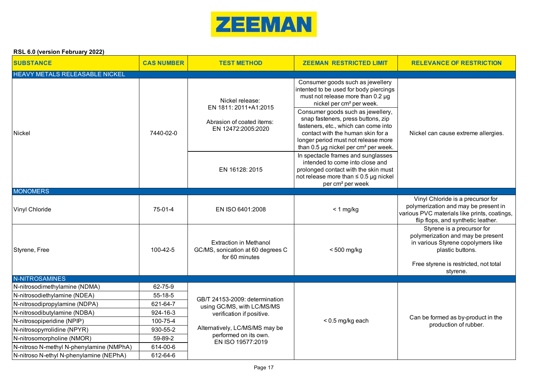

| <b>SUBSTANCE</b>                                                       | <b>CAS NUMBER</b>    | <b>TEST METHOD</b>                                                                          | <b>ZEEMAN RESTRICTED LIMIT</b>                                                                                                                                                                                                                                                                                                                                                                             | <b>RELEVANCE OF RESTRICTION</b>                                                                                                                                                |
|------------------------------------------------------------------------|----------------------|---------------------------------------------------------------------------------------------|------------------------------------------------------------------------------------------------------------------------------------------------------------------------------------------------------------------------------------------------------------------------------------------------------------------------------------------------------------------------------------------------------------|--------------------------------------------------------------------------------------------------------------------------------------------------------------------------------|
| HEAVY METALS RELEASABLE NICKEL                                         |                      |                                                                                             |                                                                                                                                                                                                                                                                                                                                                                                                            |                                                                                                                                                                                |
| Nickel                                                                 | 7440-02-0            | Nickel release:<br>EN 1811: 2011+A1:2015<br>Abrasion of coated items:<br>EN 12472:2005:2020 | Consumer goods such as jewellery<br>intented to be used for body piercings<br>must not release more than 0.2 µg<br>nickel per cm <sup>2</sup> per week.<br>Consumer goods such as jewellery,<br>snap fasteners, press buttons, zip<br>fasteners, etc., which can come into<br>contact with the human skin for a<br>longer period must not release more<br>than 0.5 µg nickel per cm <sup>2</sup> per week. | Nickel can cause extreme allergies.                                                                                                                                            |
|                                                                        |                      | EN 16128: 2015                                                                              | In spectacle frames and sunglasses<br>intended to come into close and<br>prolonged contact with the skin must<br>not release more than ≤ 0.5 µg nickel<br>per cm <sup>2</sup> per week                                                                                                                                                                                                                     |                                                                                                                                                                                |
| <b>MONOMERS</b>                                                        |                      |                                                                                             |                                                                                                                                                                                                                                                                                                                                                                                                            |                                                                                                                                                                                |
| Vinyl Chloride                                                         | 75-01-4              | EN ISO 6401:2008                                                                            | $< 1$ mg/kg                                                                                                                                                                                                                                                                                                                                                                                                | Vinyl Chloride is a precursor for<br>polymerization and may be present in<br>various PVC materials like prints, coatings,<br>flip flops, and synthetic leather.                |
| Styrene, Free                                                          | 100-42-5             | <b>Extraction in Methanol</b><br>GC/MS, sonication at 60 degrees C<br>for 60 minutes        | $< 500$ mg/kg                                                                                                                                                                                                                                                                                                                                                                                              | Styrene is a precursor for<br>polymerization and may be present<br>in various Styrene copolymers like<br>plastic buttons.<br>Free styrene is restricted, not total<br>styrene. |
| N-NITROSAMINES                                                         |                      |                                                                                             |                                                                                                                                                                                                                                                                                                                                                                                                            |                                                                                                                                                                                |
| N-nitrosodimethylamine (NDMA)                                          | 62-75-9              |                                                                                             |                                                                                                                                                                                                                                                                                                                                                                                                            |                                                                                                                                                                                |
| N-nitrosodiethylamine (NDEA)                                           | 55-18-5              | GB/T 24153-2009: determination                                                              |                                                                                                                                                                                                                                                                                                                                                                                                            |                                                                                                                                                                                |
| N-nitrosodipropylamine (NDPA)                                          | 621-64-7             | using GC/MS, with LC/MS/MS                                                                  |                                                                                                                                                                                                                                                                                                                                                                                                            |                                                                                                                                                                                |
| N-nitrosodibutylamine (NDBA)                                           | 924-16-3             | verification if positive.                                                                   |                                                                                                                                                                                                                                                                                                                                                                                                            | Can be formed as by-product in the                                                                                                                                             |
| N-nitrosopiperidine (NPIP)                                             | 100-75-4<br>930-55-2 | Alternatively, LC/MS/MS may be                                                              | $< 0.5$ mg/kg each                                                                                                                                                                                                                                                                                                                                                                                         | production of rubber.                                                                                                                                                          |
| N-nitrosopyrrolidine (NPYR)                                            | 59-89-2              | performed on its own.                                                                       |                                                                                                                                                                                                                                                                                                                                                                                                            |                                                                                                                                                                                |
| N-nitrosomorpholine (NMOR)<br>N-nitroso N-methyl N-phenylamine (NMPhA) | 614-00-6             | EN ISO 19577:2019                                                                           |                                                                                                                                                                                                                                                                                                                                                                                                            |                                                                                                                                                                                |
| N-nitroso N-ethyl N-phenylamine (NEPhA)                                | 612-64-6             |                                                                                             |                                                                                                                                                                                                                                                                                                                                                                                                            |                                                                                                                                                                                |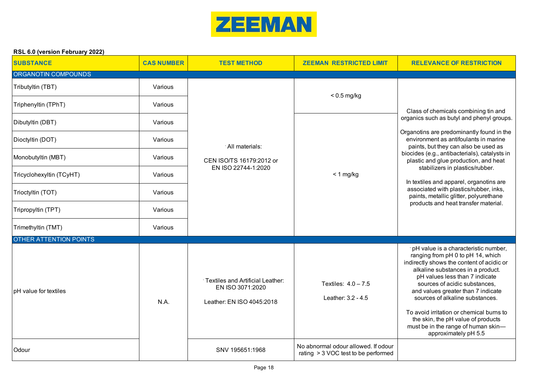

| <b>SUBSTANCE</b>              | <b>CAS NUMBER</b> | <b>TEST METHOD</b>                                                                             | <b>ZEEMAN RESTRICTED LIMIT</b>                                             | <b>RELEVANCE OF RESTRICTION</b>                                                                                                                                                                                                                                                                                                                                                                                                                          |
|-------------------------------|-------------------|------------------------------------------------------------------------------------------------|----------------------------------------------------------------------------|----------------------------------------------------------------------------------------------------------------------------------------------------------------------------------------------------------------------------------------------------------------------------------------------------------------------------------------------------------------------------------------------------------------------------------------------------------|
| ORGANOTIN COMPOUNDS           |                   |                                                                                                |                                                                            |                                                                                                                                                                                                                                                                                                                                                                                                                                                          |
| Tributyltin (TBT)             | Various           |                                                                                                | $< 0.5$ mg/kg                                                              |                                                                                                                                                                                                                                                                                                                                                                                                                                                          |
| Triphenyltin (TPhT)           | Various           |                                                                                                |                                                                            | Class of chemicals combining tin and                                                                                                                                                                                                                                                                                                                                                                                                                     |
| Dibutyltin (DBT)              | Various           |                                                                                                |                                                                            | organics such as butyl and phenyl groups.                                                                                                                                                                                                                                                                                                                                                                                                                |
| Dioctyltin (DOT)              | Various           | All materials:                                                                                 |                                                                            | Organotins are predominantly found in the<br>environment as antifoulants in marine<br>paints, but they can also be used as                                                                                                                                                                                                                                                                                                                               |
| Monobutyltin (MBT)            | Various           | CEN ISO/TS 16179:2012 or                                                                       |                                                                            | biocides (e.g., antibacterials), catalysts in<br>plastic and glue production, and heat                                                                                                                                                                                                                                                                                                                                                                   |
| Tricyclohexyltin (TCyHT)      | Various           | EN ISO 22744-1:2020                                                                            | $< 1$ mg/kg                                                                | stabilizers in plastics/rubber.<br>In textiles and apparel, organotins are                                                                                                                                                                                                                                                                                                                                                                               |
| Trioctyltin (TOT)             | Various           |                                                                                                |                                                                            | associated with plastics/rubber, inks,<br>paints, metallic glitter, polyurethane<br>products and heat transfer material.                                                                                                                                                                                                                                                                                                                                 |
| Tripropyltin (TPT)            | Various           |                                                                                                |                                                                            |                                                                                                                                                                                                                                                                                                                                                                                                                                                          |
| Trimethyltin (TMT)            | Various           |                                                                                                |                                                                            |                                                                                                                                                                                                                                                                                                                                                                                                                                                          |
| <b>OTHER ATTENTION POINTS</b> |                   |                                                                                                |                                                                            |                                                                                                                                                                                                                                                                                                                                                                                                                                                          |
| pH value for textiles         | N.A.              | <sup>-</sup> Textiles and Artificial Leather:<br>EN ISO 3071:2020<br>Leather: EN ISO 4045:2018 | Textiles: $4.0 - 7.5$<br>Leather: 3.2 - 4.5                                | pH value is a characteristic number,<br>ranging from pH 0 to pH 14, which<br>indirectly shows the content of acidic or<br>alkaline substances in a product.<br>pH values less than 7 indicate<br>sources of acidic substances,<br>and values greater than 7 indicate<br>sources of alkaline substances.<br>To avoid irritation or chemical burns to<br>the skin, the pH value of products<br>must be in the range of human skin-<br>approximately pH 5.5 |
| Odour                         |                   | SNV 195651:1968                                                                                | No abnormal odour allowed. If odour<br>rating > 3 VOC test to be performed |                                                                                                                                                                                                                                                                                                                                                                                                                                                          |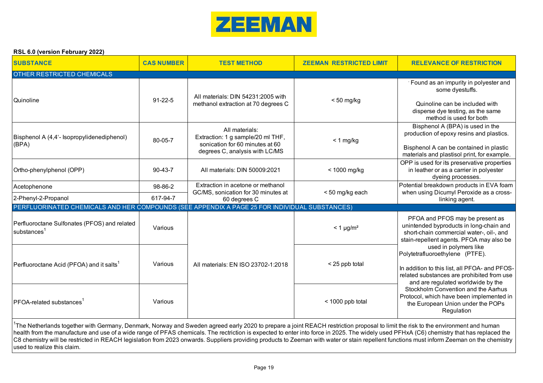

| <b>SUBSTANCE</b>                                                                              | <b>CAS NUMBER</b> | <b>TEST METHOD</b>                                                                                                       | <b>ZEEMAN RESTRICTED LIMIT</b> | <b>RELEVANCE OF RESTRICTION</b>                                                                                                                                                               |
|-----------------------------------------------------------------------------------------------|-------------------|--------------------------------------------------------------------------------------------------------------------------|--------------------------------|-----------------------------------------------------------------------------------------------------------------------------------------------------------------------------------------------|
| <b>OTHER RESTRICTED CHEMICALS</b>                                                             |                   |                                                                                                                          |                                |                                                                                                                                                                                               |
| Quinoline                                                                                     | $91 - 22 - 5$     | All materials: DIN 54231:2005 with<br>methanol extraction at 70 degrees C                                                | $< 50$ mg/kg                   | Found as an impurity in polyester and<br>some dyestuffs.<br>Quinoline can be included with<br>disperse dye testing, as the same<br>method is used for both                                    |
| Bisphenol A (4,4'- Isopropylidenediphenol)<br>(BPA)                                           | 80-05-7           | All materials:<br>Extraction: 1 g sample/20 ml THF,<br>sonication for 60 minutes at 60<br>degrees C, analysis with LC/MS | $< 1$ mg/kg                    | Bisphenol A (BPA) is used in the<br>production of epoxy resins and plastics.<br>Bisphenol A can be contained in plastic<br>materials and plastisol print, for example.                        |
| Ortho-phenylphenol (OPP)                                                                      | $90 - 43 - 7$     | All materials: DIN 50009:2021                                                                                            | $<$ 1000 mg/kg                 | OPP is used for its preservative properties<br>in leather or as a carrier in polyester<br>dyeing processes.                                                                                   |
| Acetophenone                                                                                  | 98-86-2           | Extraction in acetone or methanol<br>GC/MS, sonication for 30 minutes at                                                 | <50 mg/kg each                 | Potential breakdown products in EVA foam<br>when using Dicumyl Peroxide as a cross-                                                                                                           |
| 2-Phenyl-2-Propanol                                                                           | 617-94-7          | 60 degrees C                                                                                                             |                                | linking agent.                                                                                                                                                                                |
| PERFLUORINATED CHEMICALS AND HER COMPOUNDS (SEE APPENDIX A PAGE 25 FOR INDIVIDUAL SUBSTANCES) |                   |                                                                                                                          |                                |                                                                                                                                                                                               |
| Perfluoroctane Sulfonates (PFOS) and related<br>substances <sup>1</sup>                       | Various           |                                                                                                                          | $<$ 1 µg/m <sup>2</sup>        | PFOA and PFOS may be present as<br>unintended byproducts in long-chain and<br>short-chain commercial water-, oil-, and<br>stain-repellent agents. PFOA may also be                            |
| Perfluoroctane Acid (PFOA) and it salts <sup>1</sup>                                          | Various           | All materials: EN ISO 23702-1:2018                                                                                       | < 25 ppb total                 | used in polymers like<br>Polytetrafluoroethylene (PTFE).<br>In addition to this list, all PFOA- and PFOS-<br>related substances are prohibited from use<br>and are regulated worldwide by the |
| PFOA-related substances                                                                       | Various           |                                                                                                                          | < 1000 ppb total               | Stockholm Convention and the Aarhus<br>Protocol, which have been implemented in<br>the European Union under the POPs<br>Regulation                                                            |

<sup>1</sup>The Netherlands together with Germany, Denmark, Norway and Sweden agreed early 2020 to prepare a joint REACH restriction proposal to limit the risk to the environment and human health from the manufacture and use of a wide range of PFAS chemicals. The rectriction is expected to enter into force in 2025. The widely used PFHxA (C6) chemistry that has replaced the C8 chemistry will be restricted in REACH legislation from 2023 onwards. Suppliers providing products to Zeeman with water or stain repellent functions must inform Zeeman on the chemistry used to realize this claim.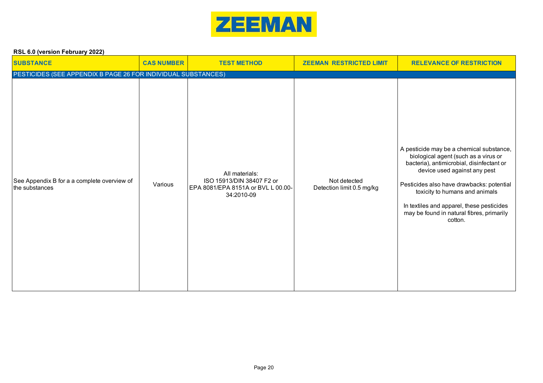

| <b>SUBSTANCE</b>                                              | <b>CAS NUMBER</b> | <b>TEST METHOD</b>                                                                              | <b>ZEEMAN RESTRICTED LIMIT</b>            | <b>RELEVANCE OF RESTRICTION</b>                                                                                                                                                                                                                                                                                                                   |
|---------------------------------------------------------------|-------------------|-------------------------------------------------------------------------------------------------|-------------------------------------------|---------------------------------------------------------------------------------------------------------------------------------------------------------------------------------------------------------------------------------------------------------------------------------------------------------------------------------------------------|
| PESTICIDES (SEE APPENDIX B PAGE 26 FOR INDIVIDUAL SUBSTANCES) |                   |                                                                                                 |                                           |                                                                                                                                                                                                                                                                                                                                                   |
| See Appendix B for a a complete overview of<br>the substances | Various           | All materials:<br>ISO 15913/DIN 38407 F2 or<br>EPA 8081/EPA 8151A or BVL L 00.00-<br>34:2010-09 | Not detected<br>Detection limit 0.5 mg/kg | A pesticide may be a chemical substance,<br>biological agent (such as a virus or<br>bacteria), antimicrobial, disinfectant or<br>device used against any pest<br>Pesticides also have drawbacks: potential<br>toxicity to humans and animals<br>In textiles and apparel, these pesticides<br>may be found in natural fibres, primarily<br>cotton. |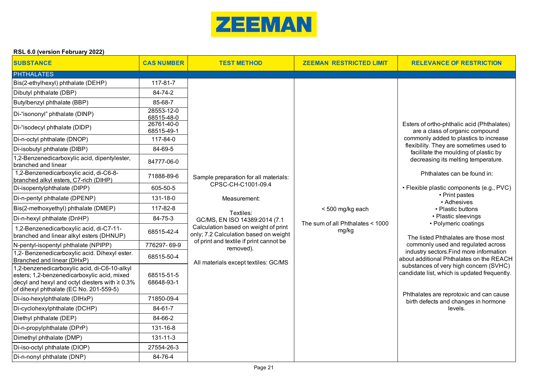

| <b>SUBSTANCE</b>                                                                                                                                                                               | <b>CAS NUMBER</b>        | <b>TEST METHOD</b>                                                            | <b>ZEEMAN RESTRICTED LIMIT</b>   | <b>RELEVANCE OF RESTRICTION</b>                                                                                                |                                    |
|------------------------------------------------------------------------------------------------------------------------------------------------------------------------------------------------|--------------------------|-------------------------------------------------------------------------------|----------------------------------|--------------------------------------------------------------------------------------------------------------------------------|------------------------------------|
| <b>PHTHALATES</b>                                                                                                                                                                              |                          |                                                                               |                                  |                                                                                                                                |                                    |
| Bis(2-ethylhexyl) phthalate (DEHP)                                                                                                                                                             | 117-81-7                 |                                                                               |                                  |                                                                                                                                |                                    |
| Dibutyl phthalate (DBP)                                                                                                                                                                        | 84-74-2                  |                                                                               |                                  |                                                                                                                                |                                    |
| Butylbenzyl phthalate (BBP)                                                                                                                                                                    | 85-68-7                  |                                                                               |                                  |                                                                                                                                |                                    |
| Di-"isononyl" phthalate (DINP)                                                                                                                                                                 | 28553-12-0<br>68515-48-0 |                                                                               |                                  |                                                                                                                                |                                    |
| Di-"isodecyl phthalate (DIDP)                                                                                                                                                                  | 26761-40-0<br>68515-49-1 |                                                                               |                                  | Esters of ortho-phthalic acid (Phthalates)<br>are a class of organic compound                                                  |                                    |
| Di-n-octyl phthalate (DNOP)                                                                                                                                                                    | 117-84-0                 |                                                                               |                                  | commonly added to plastics to increase                                                                                         |                                    |
| Di-isobutyl phthalate (DIBP)                                                                                                                                                                   | 84-69-5                  |                                                                               |                                  | flexibility. They are sometimes used to<br>facilitate the moulding of plastic by                                               |                                    |
| 1,2-Benzenedicarboxylic acid, dipentylester,<br>branched and linear                                                                                                                            | 84777-06-0               |                                                                               |                                  | decreasing its melting temperature.                                                                                            |                                    |
| 1,2-Benzenedicarboxylic acid, di-C6-8-<br>branched alkyl esters, C7-rich (DIHP)                                                                                                                | 71888-89-6               | Sample preparation for all materials:                                         |                                  | Phthalates can be found in:<br>• Flexible plastic components (e.g., PVC)<br>• Print pastes<br>• Adhesives<br>• Plastic buttons |                                    |
| Di-isopentylphthalate (DIPP)                                                                                                                                                                   | 605-50-5                 | CPSC-CH-C1001-09.4                                                            |                                  |                                                                                                                                |                                    |
| Di-n-pentyl phthalate (DPENP)                                                                                                                                                                  | 131-18-0                 | Measurement:                                                                  |                                  |                                                                                                                                |                                    |
| Bis(2-methoxyethyl) phthalate (DMEP)                                                                                                                                                           | 117-82-8                 | Textiles:                                                                     | <500 mg/kg each                  |                                                                                                                                |                                    |
| Di-n-hexyl phthalate (DnHP)                                                                                                                                                                    | 84-75-3                  | GC/MS, EN ISO 14389:2014 (7.1                                                 | The sum of all Phthalates < 1000 | • Plastic sleevings<br>• Polymeric coatings                                                                                    |                                    |
| 1,2-Benzenedicarboxylic acid, di-C7-11-<br>branched and linear alkyl esters (DHNUP)                                                                                                            | 68515-42-4               | Calculation based on weight of print<br>only; 7.2 Calculation based on weight | mg/kg                            | The listed Phthalates are those most                                                                                           |                                    |
| N-pentyl-isopentyl phthalate (NPIPP)                                                                                                                                                           | 776297-69-9              | of print and textile if print cannot be<br>removed).                          |                                  |                                                                                                                                | commonly used and regulated across |
| 1,2- Benzenedicarboxylic acid. Dihexyl ester.<br>Branched and linear (DHxP)                                                                                                                    | 68515-50-4               | All materials except textiles: GC/MS                                          |                                  | industry sectors. Find more information<br>about additional Phthalates on the REACH                                            |                                    |
| 1,2-benzenedicarboxylic acid, di-C6-10-alkyl<br>esters; 1,2-benzenedicarboxylic acid, mixed<br>decyl and hexyl and octyl diesters with $\geq 0.3\%$<br>of dihexyl phthalate (EC No. 201-559-5) | 68515-51-5<br>68648-93-1 |                                                                               |                                  | substances of very high concern (SVHC)<br>candidate list, which is updated frequently.                                         |                                    |
| Di-iso-hexylphthalate (DIHxP)                                                                                                                                                                  | 71850-09-4               |                                                                               |                                  | Phthalates are reprotoxic and can cause<br>birth defects and changes in hormone                                                |                                    |
| Di-cyclohexylphthalate (DCHP)                                                                                                                                                                  | 84-61-7                  |                                                                               |                                  | levels.                                                                                                                        |                                    |
| Diethyl phthalate (DEP)                                                                                                                                                                        | 84-66-2                  |                                                                               |                                  |                                                                                                                                |                                    |
| Di-n-propylphthalate (DPrP)                                                                                                                                                                    | 131-16-8                 |                                                                               |                                  |                                                                                                                                |                                    |
| Dimethyl phthalate (DMP)                                                                                                                                                                       | $131 - 11 - 3$           |                                                                               |                                  |                                                                                                                                |                                    |
| Di-iso-octyl phthalate (DIOP)                                                                                                                                                                  | 27554-26-3               |                                                                               |                                  |                                                                                                                                |                                    |
| Di-n-nonyl phthalate (DNP)                                                                                                                                                                     | 84-76-4                  |                                                                               |                                  |                                                                                                                                |                                    |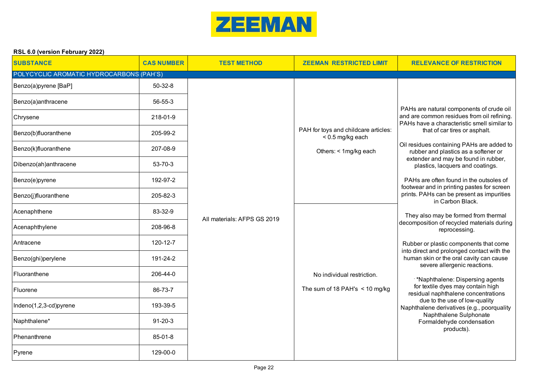

| <b>SUBSTANCE</b>                         | <b>CAS NUMBER</b> | <b>TEST METHOD</b>          | <b>ZEEMAN RESTRICTED LIMIT</b>                             | <b>RELEVANCE OF RESTRICTION</b>                                                                                                                         |
|------------------------------------------|-------------------|-----------------------------|------------------------------------------------------------|---------------------------------------------------------------------------------------------------------------------------------------------------------|
| POLYCYCLIC AROMATIC HYDROCARBONS (PAH'S) |                   |                             |                                                            |                                                                                                                                                         |
| Benzo(a)pyrene [BaP]                     | 50-32-8           |                             |                                                            |                                                                                                                                                         |
| Benzo(a)anthracene                       | 56-55-3           |                             |                                                            | PAHs are natural components of crude oil                                                                                                                |
| Chrysene                                 | 218-01-9          |                             |                                                            | and are common residues from oil refining.<br>PAHs have a characteristic smell similar to                                                               |
| Benzo(b)fluoranthene                     | 205-99-2          |                             | PAH for toys and childcare articles:<br>$< 0.5$ mg/kg each | that of car tires or asphalt.                                                                                                                           |
| Benzo(k)fluoranthene                     | 207-08-9          |                             | Others: < 1mg/kg each                                      | Oil residues containing PAHs are added to<br>rubber and plastics as a softener or                                                                       |
| Dibenzo(ah)anthracene                    | 53-70-3           |                             |                                                            | extender and may be found in rubber,<br>plastics, lacquers and coatings.                                                                                |
| Benzo(e)pyrene                           | 192-97-2          |                             |                                                            | PAHs are often found in the outsoles of<br>footwear and in printing pastes for screen                                                                   |
| Benzo(j)fluoranthene                     | 205-82-3          |                             |                                                            | prints. PAHs can be present as impurities<br>in Carbon Black.                                                                                           |
| Acenaphthene                             | 83-32-9           | All materials: AFPS GS 2019 |                                                            | They also may be formed from thermal                                                                                                                    |
| Acenaphthylene                           | 208-96-8          |                             |                                                            | decomposition of recycled materials during<br>reprocessing.                                                                                             |
| Antracene                                | 120-12-7          |                             |                                                            | Rubber or plastic components that come<br>into direct and prolonged contact with the                                                                    |
| Benzo(ghi)perylene                       | 191-24-2          |                             |                                                            | human skin or the oral cavity can cause<br>severe allergenic reactions.                                                                                 |
| Fluoranthene                             | 206-44-0          |                             | No individual restriction.                                 | *Naphthalene: Dispersing agents                                                                                                                         |
| Fluorene                                 | 86-73-7           |                             | The sum of 18 PAH's $\leq$ 10 mg/kg                        | for textile dyes may contain high<br>residual naphthalene concentrations<br>due to the use of low-quality<br>Naphthalene derivatives (e.g., poorquality |
| Indeno(1,2,3-cd)pyrene                   | 193-39-5          |                             |                                                            |                                                                                                                                                         |
| Naphthalene*                             | $91 - 20 - 3$     |                             |                                                            | Naphthalene Sulphonate<br>Formaldehyde condensation<br>products).                                                                                       |
| Phenanthrene                             | 85-01-8           |                             |                                                            |                                                                                                                                                         |
| Pyrene                                   | 129-00-0          |                             |                                                            |                                                                                                                                                         |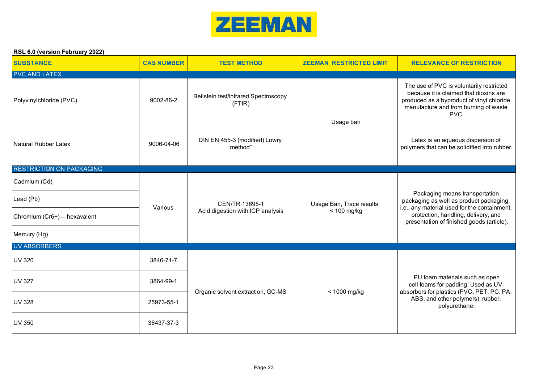

| <b>SUBSTANCE</b>                | <b>CAS NUMBER</b> | <b>TEST METHOD</b>                                        | <b>ZEEMAN RESTRICTED LIMIT</b>             | <b>RELEVANCE OF RESTRICTION</b>                                                                                                                                                                               |  |
|---------------------------------|-------------------|-----------------------------------------------------------|--------------------------------------------|---------------------------------------------------------------------------------------------------------------------------------------------------------------------------------------------------------------|--|
| <b>PVC AND LATEX</b>            |                   |                                                           |                                            |                                                                                                                                                                                                               |  |
| Polyvinylchloride (PVC)         | 9002-86-2         | Beilstein test/Infrared Spectroscopy<br>(FTIR)            | Usage ban                                  | The use of PVC is voluntarily restricted<br>because it is claimed that dioxins are<br>produced as a byproduct of vinyl chloride<br>manufacture and from burning of waste<br>PVC.                              |  |
| <b>Natural Rubber Latex</b>     | 9006-04-06        | DIN EN 455-3 (modified) Lowry<br>method"                  |                                            | Latex is an aqueous dispersion of<br>polymers that can be solidified into rubber.                                                                                                                             |  |
| <b>RESTRICTION ON PACKAGING</b> |                   |                                                           |                                            |                                                                                                                                                                                                               |  |
| Cadmium (Cd)                    |                   | <b>CEN/TR 13695-1</b><br>Acid digestion with ICP analysis | Usage Ban, Trace results:<br>$< 100$ mg/kg | Packaging means transportation<br>packaging as well as product packaging,<br>i.e., any material used for the containment,<br>protection, handling, delivery, and<br>presentation of finished goods (article). |  |
| Lead (Pb)                       | Various           |                                                           |                                            |                                                                                                                                                                                                               |  |
| Chromium (Cr6+) - hexavalent    |                   |                                                           |                                            |                                                                                                                                                                                                               |  |
| Mercury (Hg)                    |                   |                                                           |                                            |                                                                                                                                                                                                               |  |
| <b>UV ABSORBERS</b>             |                   |                                                           |                                            |                                                                                                                                                                                                               |  |
| <b>UV 320</b>                   | 3846-71-7         |                                                           |                                            |                                                                                                                                                                                                               |  |
| <b>UV 327</b>                   | 3864-99-1         |                                                           | < 1000 mg/kg                               | PU foam materials such as open<br>cell foams for padding. Used as UV-<br>absorbers for plastics (PVC, PET, PC, PA,<br>ABS, and other polymers), rubber,<br>polyurethane.                                      |  |
| <b>UV 328</b>                   | 25973-55-1        | Organic solvent extraction, GC-MS                         |                                            |                                                                                                                                                                                                               |  |
| <b>UV 350</b>                   | 36437-37-3        |                                                           |                                            |                                                                                                                                                                                                               |  |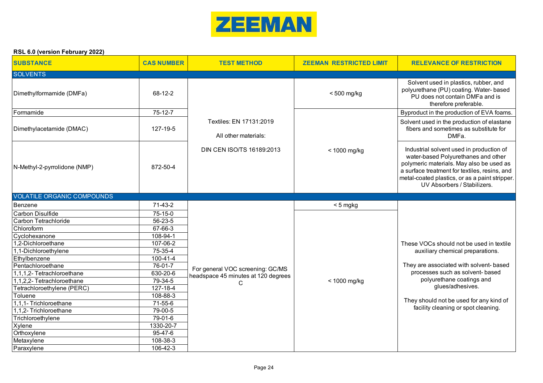

| <b>SUBSTANCE</b>                  | <b>CAS NUMBER</b> | <b>TEST METHOD</b>                              | <b>ZEEMAN RESTRICTED LIMIT</b> | <b>RELEVANCE OF RESTRICTION</b>                                                                                                                                                                                                                               |
|-----------------------------------|-------------------|-------------------------------------------------|--------------------------------|---------------------------------------------------------------------------------------------------------------------------------------------------------------------------------------------------------------------------------------------------------------|
| <b>SOLVENTS</b>                   |                   |                                                 |                                |                                                                                                                                                                                                                                                               |
| Dimethylformamide (DMFa)          | 68-12-2           |                                                 | $< 500$ mg/kg                  | Solvent used in plastics, rubber, and<br>polyurethane (PU) coating. Water- based<br>PU does not contain DMFa and is<br>therefore preferable.                                                                                                                  |
| Formamide                         | $75-12-7$         |                                                 |                                | Byproduct in the production of EVA foams.                                                                                                                                                                                                                     |
| Dimethylacetamide (DMAC)          | 127-19-5          | Textiles: EN 17131:2019<br>All other materials: |                                | Solvent used in the production of elastane<br>fibers and sometimes as substitute for<br>DMFa.                                                                                                                                                                 |
| N-Methyl-2-pyrrolidone (NMP)      | 872-50-4          | DIN CEN ISO/TS 16189:2013                       | < 1000 mg/kg                   | Industrial solvent used in production of<br>water-based Polyurethanes and other<br>polymeric materials. May also be used as<br>a surface treatment for textiles, resins, and<br>metal-coated plastics, or as a paint stripper.<br>UV Absorbers / Stabilizers. |
| <b>VOLATILE ORGANIC COMPOUNDS</b> |                   |                                                 |                                |                                                                                                                                                                                                                                                               |
| Benzene                           | 71-43-2           |                                                 | <5 mgkg                        |                                                                                                                                                                                                                                                               |
| <b>Carbon Disulfide</b>           | 75-15-0           |                                                 |                                |                                                                                                                                                                                                                                                               |
| Carbon Tetrachloride              | $56 - 23 - 5$     |                                                 |                                |                                                                                                                                                                                                                                                               |
| Chloroform                        | 67-66-3           |                                                 |                                |                                                                                                                                                                                                                                                               |
| Cyclohexanone                     | 108-94-1          |                                                 |                                |                                                                                                                                                                                                                                                               |
| 1.2-Dichloroethane                | 107-06-2          |                                                 |                                | These VOCs should not be used in textile                                                                                                                                                                                                                      |
| 1,1-Dichloroethylene              | 75-35-4           |                                                 |                                | auxiliary chemical preparations.                                                                                                                                                                                                                              |
| Ethylbenzene                      | 100-41-4          |                                                 |                                |                                                                                                                                                                                                                                                               |
| Pentachloroethane                 | 76-01-7           | For general VOC screening: GC/MS                |                                | They are associated with solvent- based                                                                                                                                                                                                                       |
| 1,1,1,2- Tetrachloroethane        | 630-20-6          | headspace 45 minutes at 120 degrees             |                                | processes such as solvent- based                                                                                                                                                                                                                              |
| 1,1,2,2- Tetrachloroethane        | 79-34-5           | C                                               | $<$ 1000 mg/kg                 | polyurethane coatings and                                                                                                                                                                                                                                     |
| Tetrachloroethylene (PERC)        | 127-18-4          |                                                 |                                | glues/adhesives.                                                                                                                                                                                                                                              |
| Toluene                           | 108-88-3          |                                                 |                                |                                                                                                                                                                                                                                                               |
| 1,1,1- Trichloroethane            | 71-55-6           |                                                 |                                | They should not be used for any kind of<br>facility cleaning or spot cleaning.                                                                                                                                                                                |
| 1,1,2- Trichloroethane            | 79-00-5           |                                                 |                                |                                                                                                                                                                                                                                                               |
| Trichloroethylene                 | 79-01-6           |                                                 |                                |                                                                                                                                                                                                                                                               |
| Xylene                            | 1330-20-7         |                                                 |                                |                                                                                                                                                                                                                                                               |
| Orthoxylene                       | $95 - 47 - 6$     |                                                 |                                |                                                                                                                                                                                                                                                               |
| Metaxylene                        | 108-38-3          |                                                 |                                |                                                                                                                                                                                                                                                               |
| Paraxylene                        | 106-42-3          |                                                 |                                |                                                                                                                                                                                                                                                               |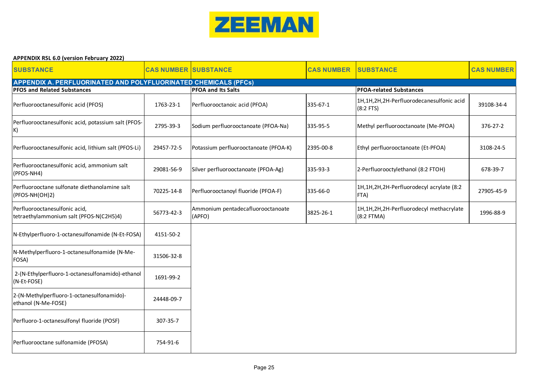

| <b>APPENDIX RSL 6.0 (version February 2022)</b> |  |  |  |
|-------------------------------------------------|--|--|--|
|-------------------------------------------------|--|--|--|

| <b>SUBSTANCE</b>                                                         | <b>CAS NUMBER SUBSTANCE</b> |                                             | <b>CAS NUMBER</b> | <b>SUBSTANCE</b>                                        | <b>CAS NUMBER</b> |
|--------------------------------------------------------------------------|-----------------------------|---------------------------------------------|-------------------|---------------------------------------------------------|-------------------|
| APPENDIX A. PERFLUORINATED AND POLYFLUORINATED CHEMICALS (PFCs)          |                             |                                             |                   |                                                         |                   |
| <b>PFOS and Related Substances</b>                                       |                             | <b>PFOA and Its Salts</b>                   |                   | <b>PFOA-related Substances</b>                          |                   |
| Perfluorooctanesulfonic acid (PFOS)                                      | 1763-23-1                   | Perfluorooctanoic acid (PFOA)               | 335-67-1          | 1H,1H,2H,2H-Perfluorodecanesulfonic acid<br>$(8:2$ FTS) | 39108-34-4        |
| Perfluorooctanesulfonic acid, potassium salt (PFOS-<br>K)                | 2795-39-3                   | Sodium perfluorooctanoate (PFOA-Na)         | 335-95-5          | Methyl perfluorooctanoate (Me-PFOA)                     | 376-27-2          |
| Perfluorooctanesulfonic acid, lithium salt (PFOS-Li)                     | 29457-72-5                  | Potassium perfluorooctanoate (PFOA-K)       | 2395-00-8         | Ethyl perfluorooctanoate (Et-PFOA)                      | 3108-24-5         |
| Perfluorooctanesulfonic acid, ammonium salt<br>(PFOS-NH4)                | 29081-56-9                  | Silver perfluorooctanoate (PFOA-Ag)         | 335-93-3          | 2-Perfluorooctylethanol (8:2 FTOH)                      | 678-39-7          |
| Perfluorooctane sulfonate diethanolamine salt<br>(PFOS-NH(OH)2)          | 70225-14-8                  | Perfluorooctanoyl fluoride (PFOA-F)         | 335-66-0          | 1H,1H,2H,2H-Perfluorodecyl acrylate (8:2<br>FTA)        | 27905-45-9        |
| Perfluorooctanesulfonic acid,<br>tetraethylammonium salt (PFOS-N(C2H5)4) | 56773-42-3                  | Ammonium pentadecafluorooctanoate<br>(APFO) | 3825-26-1         | 1H,1H,2H,2H-Perfluorodecyl methacrylate<br>$(8:2$ FTMA) | 1996-88-9         |
| N-Ethylperfluoro-1-octanesulfonamide (N-Et-FOSA)                         | 4151-50-2                   |                                             |                   |                                                         |                   |
| N-Methylperfluoro-1-octanesulfonamide (N-Me-<br>FOSA)                    | 31506-32-8                  |                                             |                   |                                                         |                   |
| 2-(N-Ethylperfluoro-1-octanesulfonamido)-ethanol<br>(N-Et-FOSE)          | 1691-99-2                   |                                             |                   |                                                         |                   |
| 2-(N-Methylperfluoro-1-octanesulfonamido)-<br>ethanol (N-Me-FOSE)        | 24448-09-7                  |                                             |                   |                                                         |                   |
| Perfluoro-1-octanesulfonyl fluoride (POSF)                               | 307-35-7                    |                                             |                   |                                                         |                   |
| Perfluorooctane sulfonamide (PFOSA)                                      | 754-91-6                    |                                             |                   |                                                         |                   |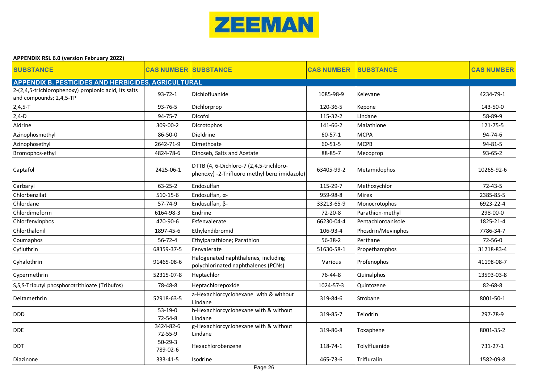

| <b>APPENDIX RSL 6.0 (version February 2022)</b>                                 |                             |                                                                                         |                   |                    |                   |  |
|---------------------------------------------------------------------------------|-----------------------------|-----------------------------------------------------------------------------------------|-------------------|--------------------|-------------------|--|
| <b>SUBSTANCE</b>                                                                | <b>CAS NUMBER SUBSTANCE</b> |                                                                                         | <b>CAS NUMBER</b> | <b>SUBSTANCE</b>   | <b>CAS NUMBER</b> |  |
| <b>APPENDIX B. PESTICIDES AND HERBICIDES, AGRICULTURAL</b>                      |                             |                                                                                         |                   |                    |                   |  |
| 2-(2,4,5-trichlorophenoxy) propionic acid, its salts<br>and compounds; 2,4,5-TP | $93 - 72 - 1$               | Dichlofluanide                                                                          | 1085-98-9         | Kelevane           | 4234-79-1         |  |
| $2,4,5-T$                                                                       | 93-76-5                     | Dichlorprop                                                                             | 120-36-5          | Kepone             | 143-50-0          |  |
| $2,4-D$                                                                         | 94-75-7                     | Dicofol                                                                                 | 115-32-2          | Lindane            | 58-89-9           |  |
| Aldrine                                                                         | 309-00-2                    | Dicrotophos                                                                             | 141-66-2          | Malathione         | 121-75-5          |  |
| Azinophosmethyl                                                                 | 86-50-0                     | Dieldrine                                                                               | $60 - 57 - 1$     | <b>MCPA</b>        | $94 - 74 - 6$     |  |
| Azinophosethyl                                                                  | 2642-71-9                   | Dimethoate                                                                              | 60-51-5           | <b>MCPB</b>        | 94-81-5           |  |
| Bromophos-ethyl                                                                 | 4824-78-6                   | Dinoseb, Salts and Acetate                                                              | 88-85-7           | Mecoprop           | $93 - 65 - 2$     |  |
| Captafol                                                                        | 2425-06-1                   | DTTB (4, 6-Dichloro-7 (2,4,5-trichloro-<br>phenoxy) -2-Trifluoro methyl benz imidazole) | 63405-99-2        | Metamidophos       | 10265-92-6        |  |
| Carbaryl                                                                        | $63 - 25 - 2$               | Endosulfan                                                                              | 115-29-7          | Methoxychlor       | $72 - 43 - 5$     |  |
| Chlorbenzilat                                                                   | 510-15-6                    | Endosulfan, α-                                                                          | 959-98-8          | <b>Mirex</b>       | 2385-85-5         |  |
| Chlordane                                                                       | 57-74-9                     | Endosulfan, β-                                                                          | 33213-65-9        | Monocrotophos      | 6923-22-4         |  |
| Chlordimeform                                                                   | 6164-98-3                   | Endrine                                                                                 | 72-20-8           | Parathion-methyl   | 298-00-0          |  |
| Chlorfenvinphos                                                                 | 470-90-6                    | Esfenvalerate                                                                           | 66230-04-4        | Pentachloroanisole | 1825-21-4         |  |
| Chlorthalonil                                                                   | 1897-45-6                   | Ethylendibromid                                                                         | 106-93-4          | Phosdrin/Mevinphos | 7786-34-7         |  |
| Coumaphos                                                                       | 56-72-4                     | Ethylparathione; Parathion                                                              | 56-38-2           | Perthane           | 72-56-0           |  |
| Cyfluthrin                                                                      | 68359-37-5                  | Fenvalerate                                                                             | 51630-58-1        | Propethamphos      | 31218-83-4        |  |
| Cyhalothrin                                                                     | 91465-08-6                  | Halogenated naphthalenes, including<br>polychlorinated naphthalenes (PCNs)              | Various           | Profenophos        | 41198-08-7        |  |
| Cypermethrin                                                                    | 52315-07-8                  | Heptachlor                                                                              | 76-44-8           | Quinalphos         | 13593-03-8        |  |
| S, S, S-Tributyl phosphorotrithioate (Tribufos)                                 | 78-48-8                     | Heptachlorepoxide                                                                       | 1024-57-3         | Quintozene         | 82-68-8           |  |
| Deltamethrin                                                                    | 52918-63-5                  | a-Hexachlorcyclohexane with & without<br>Lindane                                        | 319-84-6          | Strobane           | 8001-50-1         |  |
| <b>DDD</b>                                                                      | $53-19-0$<br>72-54-8        | b-Hexachlorcyclohexane with & without<br>Lindane                                        | 319-85-7          | Telodrin           | 297-78-9          |  |
| DDE.                                                                            | 3424-82-6<br>72-55-9        | g-Hexachlorcyclohexane with & without<br>Lindane                                        | 319-86-8          | Toxaphene          | 8001-35-2         |  |
| <b>DDT</b>                                                                      | $50-29-3$<br>789-02-6       | Hexachlorobenzene                                                                       | 118-74-1          | Tolylfluanide      | 731-27-1          |  |
| Diazinone                                                                       | 333-41-5                    | Isodrine                                                                                | 465-73-6          | Trifluralin        | 1582-09-8         |  |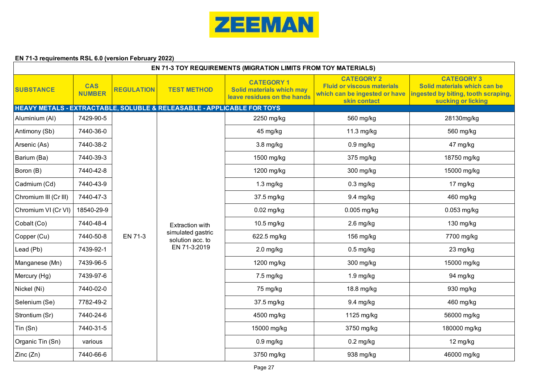

# **EN 71-3 requirements RSL 6.0 (version February 2022)**

|                       | <b>EN 71-3 TOY REQUIREMENTS (MIGRATION LIMITS FROM TOY MATERIALS)</b> |                   |                                                                        |                                                                               |                                                                                                         |                                                                                                                |  |  |  |  |
|-----------------------|-----------------------------------------------------------------------|-------------------|------------------------------------------------------------------------|-------------------------------------------------------------------------------|---------------------------------------------------------------------------------------------------------|----------------------------------------------------------------------------------------------------------------|--|--|--|--|
| <b>SUBSTANCE</b>      | <b>CAS</b><br><b>NUMBER</b>                                           | <b>REGULATION</b> | <b>TEST METHOD</b>                                                     | <b>CATEGORY 1</b><br>Solid materials which may<br>leave residues on the hands | <b>CATEGORY 2</b><br><b>Fluid or viscous materials</b><br>which can be ingested or have<br>skin contact | <b>CATEGORY 3</b><br>Solid materials which can be<br>ingested by biting, tooth scraping,<br>sucking or licking |  |  |  |  |
|                       |                                                                       |                   | HEAVY METALS - EXTRACTABLE, SOLUBLE & RELEASABLE - APPLICABLE FOR TOYS |                                                                               |                                                                                                         |                                                                                                                |  |  |  |  |
| Aluminium (AI)        | 7429-90-5                                                             |                   |                                                                        | 2250 mg/kg                                                                    | 560 mg/kg                                                                                               | 28130mg/kg                                                                                                     |  |  |  |  |
| Antimony (Sb)         | 7440-36-0                                                             |                   |                                                                        | 45 mg/kg                                                                      | 11.3 $mg/kg$                                                                                            | 560 mg/kg                                                                                                      |  |  |  |  |
| Arsenic (As)          | 7440-38-2                                                             |                   |                                                                        | $3.8$ mg/kg                                                                   | $0.9$ mg/kg                                                                                             | 47 mg/kg                                                                                                       |  |  |  |  |
| Barium (Ba)           | 7440-39-3                                                             |                   |                                                                        | 1500 mg/kg                                                                    | 375 mg/kg                                                                                               | 18750 mg/kg                                                                                                    |  |  |  |  |
| Boron (B)             | 7440-42-8                                                             |                   |                                                                        | 1200 mg/kg                                                                    | 300 mg/kg                                                                                               | 15000 mg/kg                                                                                                    |  |  |  |  |
| Cadmium (Cd)          | 7440-43-9                                                             |                   |                                                                        | $1.3$ mg/kg                                                                   | $0.3$ mg/kg                                                                                             | 17 mg/kg                                                                                                       |  |  |  |  |
| Chromium III (Cr III) | 7440-47-3                                                             |                   | Extraction with                                                        | 37.5 mg/kg                                                                    | 9.4 mg/kg                                                                                               | 460 mg/kg                                                                                                      |  |  |  |  |
| Chromium VI (Cr VI)   | 18540-29-9                                                            |                   |                                                                        | $0.02$ mg/kg                                                                  | $0.005$ mg/kg                                                                                           | $0.053$ mg/kg                                                                                                  |  |  |  |  |
| Cobalt (Co)           | 7440-48-4                                                             |                   |                                                                        | 10.5 mg/kg                                                                    | $2.6$ mg/kg                                                                                             | 130 mg/kg                                                                                                      |  |  |  |  |
| Copper (Cu)           | 7440-50-8                                                             | EN 71-3           | simulated gastric<br>solution acc. to                                  | 622.5 mg/kg                                                                   | 156 mg/kg                                                                                               | 7700 mg/kg                                                                                                     |  |  |  |  |
| Lead (Pb)             | 7439-92-1                                                             |                   | EN 71-3:2019                                                           | $2.0$ mg/kg                                                                   | $0.5$ mg/kg                                                                                             | 23 mg/kg                                                                                                       |  |  |  |  |
| Manganese (Mn)        | 7439-96-5                                                             |                   |                                                                        | 1200 mg/kg                                                                    | 300 mg/kg                                                                                               | 15000 mg/kg                                                                                                    |  |  |  |  |
| Mercury (Hg)          | 7439-97-6                                                             |                   |                                                                        | $7.5$ mg/kg                                                                   | $1.9$ mg/kg                                                                                             | 94 mg/kg                                                                                                       |  |  |  |  |
| Nickel (Ni)           | 7440-02-0                                                             |                   |                                                                        | 75 mg/kg                                                                      | 18.8 mg/kg                                                                                              | 930 mg/kg                                                                                                      |  |  |  |  |
| Selenium (Se)         | 7782-49-2                                                             |                   |                                                                        | 37.5 mg/kg                                                                    | 9.4 mg/kg                                                                                               | 460 mg/kg                                                                                                      |  |  |  |  |
| Strontium (Sr)        | 7440-24-6                                                             |                   |                                                                        | 4500 mg/kg                                                                    | 1125 mg/kg                                                                                              | 56000 mg/kg                                                                                                    |  |  |  |  |
| Tin (Sn)              | 7440-31-5                                                             |                   |                                                                        | 15000 mg/kg                                                                   | 3750 mg/kg                                                                                              | 180000 mg/kg                                                                                                   |  |  |  |  |
| Organic Tin (Sn)      | various                                                               |                   |                                                                        | $0.9$ mg/kg                                                                   | $0.2$ mg/kg                                                                                             | 12 mg/kg                                                                                                       |  |  |  |  |
| Zinc(Zn)              | 7440-66-6                                                             |                   |                                                                        | 3750 mg/kg                                                                    | 938 mg/kg                                                                                               | 46000 mg/kg                                                                                                    |  |  |  |  |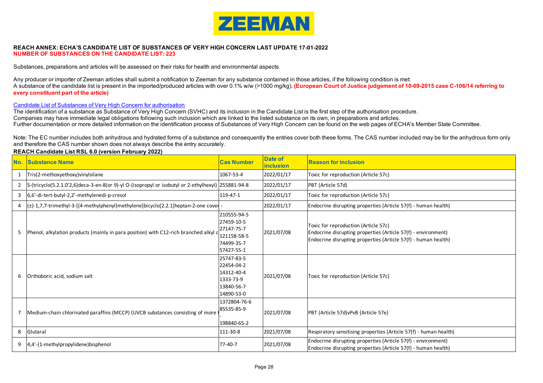

#### **REACH ANNEX: ECHA'S CANDIDATE LIST OF SUBSTANCES OF VERY HIGH CONCERN LAST UPDATE 17-01-2022 NUMBER OF SUBSTANCES ON THE CANDIDATE LIST: 223**

Substances, preparations and articles will be assessed on their risks for health and environmental aspects

Any producer or importer of Zeeman articles shall submit a notification to Zeeman for any substance contained in those articles, if the following condition is met: A substance of the candidate list is present in the imported/produced articles with over 0.1% w/w (>1000 mg/kg). **(European Court of Justice judgement of 10-09-2015 case C-106/14 referring to every constituent part of the article)** 

#### Candidate List of Substances of Very High Concern for authorisation

Further documentation or more detailed information on the identification process of Substances of Very High Concern can be found on the web pages of ECHA's Member State Committee. The identification of a substance as Substance of Very High Concern (SVHC) and its inclusion in the Candidate List is the first step of the authorisation procedure. Companies may have immediate legal obligations following such inclusion which are linked to the listed substance on its own, in preparations and articles.

Note: The EC number includes both anhydrous and hydrated forms of a substance and consequently the entries cover both these forms. The CAS number included may be for the anhydrous form only and therefore the CAS number shown does not always describe the entry accurately.

|    | No. Substance Name                                                                                   | <b>Cas Number</b>                                                                  | <b>Date of</b><br><b>inclusion</b> | <b>Reason for inclusion</b>                                                                                                                                             |
|----|------------------------------------------------------------------------------------------------------|------------------------------------------------------------------------------------|------------------------------------|-------------------------------------------------------------------------------------------------------------------------------------------------------------------------|
|    | 1   Tris(2-methoxyethoxy) vinylsilane                                                                | 1067-53-4                                                                          | 2022/01/17                         | Toxic for reproduction (Article 57c)                                                                                                                                    |
|    | 2 S-(tricyclo(5.2.1.0'2,6)deca-3-en-8(or 9)-yl O-(isopropyl or isobutyl or 2-ethylhexyl) 255881-94-8 |                                                                                    | 2022/01/17                         | PBT (Article 57d)                                                                                                                                                       |
|    | 3 6,6'-di-tert-butyl-2,2'-methylenedi-p-cresol                                                       | 119-47-1                                                                           | 2022/01/17                         | Toxic for reproduction (Article 57c)                                                                                                                                    |
|    | 4 (±)-1,7,7-trimethyl-3-[(4-methylphenyl)methylene]bicyclo[2.2.1]heptan-2-one cover                  |                                                                                    | 2022/01/17                         | Endocrine disrupting properties (Article 57(f) - human health)                                                                                                          |
| 5. | Phenol, alkylation products (mainly in para position) with C12-rich branched alkyl                   | 210555-94-5<br>27459-10-5<br>27147-75-7<br>121158-58-5<br>74499-35-7<br>57427-55-1 | 2021/07/08                         | Toxic for reproduction (Article 57c)<br>Endocrine disrupting properties (Article 57(f) - environment)<br>Endocrine disrupting properties (Article 57(f) - human health) |
|    | 6 Orthoboric acid, sodium salt                                                                       | 25747-83-5<br>22454-04-2<br>14312-40-4<br>1333-73-9<br>13840-56-7<br>14890-53-0    | 2021/07/08                         | Toxic for reproduction (Article 57c)                                                                                                                                    |
|    | Medium-chain chlorinated paraffins (MCCP) (UVCB substances consisting of more                        | 1372804-76-6<br>85535-85-9<br>198840-65-2                                          | 2021/07/08                         | PBT (Article 57d) vPvB (Article 57e)                                                                                                                                    |
| 8  | Glutaral                                                                                             | 111-30-8                                                                           | 2021/07/08                         | Respiratory sensitising properties (Article 57(f) - human health)                                                                                                       |
|    | 9 4,4'-(1-methylpropylidene) bisphenol                                                               | $77 - 40 - 7$                                                                      | 2021/07/08                         | Endocrine disrupting properties (Article 57(f) - environment)<br>Endocrine disrupting properties (Article 57(f) - human health)                                         |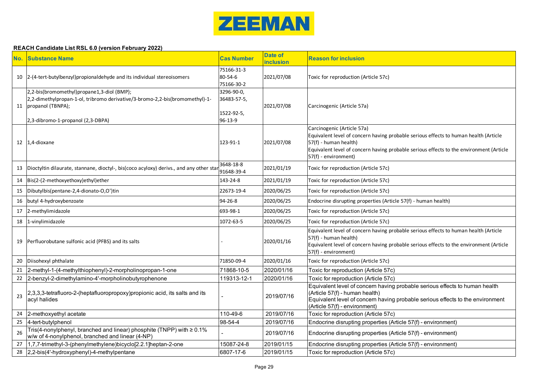

| No. | <b>Substance Name</b>                                                                                                                                                                   | <b>Cas Number</b>                                  | <b>Date of</b><br>nclusion | <b>Reason for inclusion</b>                                                                                                                                                                                                                                    |
|-----|-----------------------------------------------------------------------------------------------------------------------------------------------------------------------------------------|----------------------------------------------------|----------------------------|----------------------------------------------------------------------------------------------------------------------------------------------------------------------------------------------------------------------------------------------------------------|
|     | 10  2-(4-tert-butylbenzyl) propional dehyde and its individual stereoisomers                                                                                                            | 75166-31-3<br>80-54-6<br>75166-30-2                | 2021/07/08                 | Toxic for reproduction (Article 57c)                                                                                                                                                                                                                           |
|     | 2,2-bis(bromomethyl)propane1,3-diol (BMP);<br>2,2-dimethylpropan-1-ol, tribromo derivative/3-bromo-2,2-bis(bromomethyl)-1-<br>11 propanol (TBNPA);<br>2,3-dibromo-1-propanol (2,3-DBPA) | 3296-90-0,<br>36483-57-5,<br>1522-92-5,<br>96-13-9 | 2021/07/08                 | Carcinogenic (Article 57a)                                                                                                                                                                                                                                     |
|     | 12 1,4-dioxane                                                                                                                                                                          | 123-91-1                                           | 2021/07/08                 | Carcinogenic (Article 57a)<br>Equivalent level of concern having probable serious effects to human health (Article<br>57(f) - human health)<br>Equivalent level of concern having probable serious effects to the environment (Article<br>57(f) - environment) |
|     | 13 Dioctyltin dilaurate, stannane, dioctyl-, bis(coco acyloxy) derivs., and any other sta                                                                                               | 3648-18-8<br>91648-39-4                            | 2021/01/19                 | Toxic for reproduction (Article 57c)                                                                                                                                                                                                                           |
|     | 14 Bis(2-(2-methoxyethoxy)ethyl)ether                                                                                                                                                   | 143-24-8                                           | 2021/01/19                 | <b>Toxic for reproduction (Article 57c)</b>                                                                                                                                                                                                                    |
|     | 15 Dibutylbis(pentane-2,4-dionato-O,O')tin                                                                                                                                              | 22673-19-4                                         | 2020/06/25                 | Toxic for reproduction (Article 57c)                                                                                                                                                                                                                           |
|     | 16 butyl 4-hydroxybenzoate                                                                                                                                                              | $94 - 26 - 8$                                      | 2020/06/25                 | Endocrine disrupting properties (Article 57(f) - human health)                                                                                                                                                                                                 |
|     | 17 2-methylimidazole                                                                                                                                                                    | 693-98-1                                           | 2020/06/25                 | Toxic for reproduction (Article 57c)                                                                                                                                                                                                                           |
|     | 18 1-vinylimidazole                                                                                                                                                                     | 1072-63-5                                          | 2020/06/25                 | Toxic for reproduction (Article 57c)                                                                                                                                                                                                                           |
|     | 19 Perfluorobutane sulfonic acid (PFBS) and its salts                                                                                                                                   |                                                    | 2020/01/16                 | Equivalent level of concern having probable serious effects to human health (Article<br>57(f) - human health)<br>Equivalent level of concern having probable serious effects to the environment (Article<br>57(f) - environment)                               |
|     | 20 Diisohexyl phthalate                                                                                                                                                                 | 71850-09-4                                         | 2020/01/16                 | Toxic for reproduction (Article 57c)                                                                                                                                                                                                                           |
|     | 21 2-methyl-1-(4-methylthiophenyl)-2-morpholinopropan-1-one                                                                                                                             | 71868-10-5                                         | 2020/01/16                 | Toxic for reproduction (Article 57c)                                                                                                                                                                                                                           |
|     | 22 2-benzyl-2-dimethylamino-4'-morpholinobutyrophenone                                                                                                                                  | 119313-12-1                                        | 2020/01/16                 | Toxic for reproduction (Article 57c)                                                                                                                                                                                                                           |
| 23  | 2,3,3,3-tetrafluoro-2-(heptafluoropropoxy)propionic acid, its salts and its<br>acyl halides                                                                                             |                                                    | 2019/07/16                 | Equivalent level of concern having probable serious effects to human health<br>(Article 57(f) - human health)<br>Equivalent level of concern having probable serious effects to the environment<br>(Article 57(f) - environment)                               |
| 24  | 2-methoxyethyl acetate                                                                                                                                                                  | 110-49-6                                           | 2019/07/16                 | Toxic for reproduction (Article 57c)                                                                                                                                                                                                                           |
| 25  | 4-tert-butylphenol                                                                                                                                                                      | 98-54-4                                            | 2019/07/16                 | Endocrine disrupting properties (Article 57(f) - environment)                                                                                                                                                                                                  |
| 26  | Tris(4-nonylphenyl, branched and linear) phosphite (TNPP) with $\geq 0.1\%$<br>w/w of 4-nonylphenol, branched and linear (4-NP)                                                         |                                                    | 2019/07/16                 | Endocrine disrupting properties (Article 57(f) - environment)                                                                                                                                                                                                  |
| 27  | 1,7,7-trimethyl-3-(phenylmethylene)bicyclo[2.2.1]heptan-2-one                                                                                                                           | 15087-24-8                                         | 2019/01/15                 | Endocrine disrupting properties (Article 57(f) - environment)                                                                                                                                                                                                  |
|     | 28 2,2-bis(4'-hydroxyphenyl)-4-methylpentane                                                                                                                                            | 6807-17-6                                          | 2019/01/15                 | Toxic for reproduction (Article 57c)                                                                                                                                                                                                                           |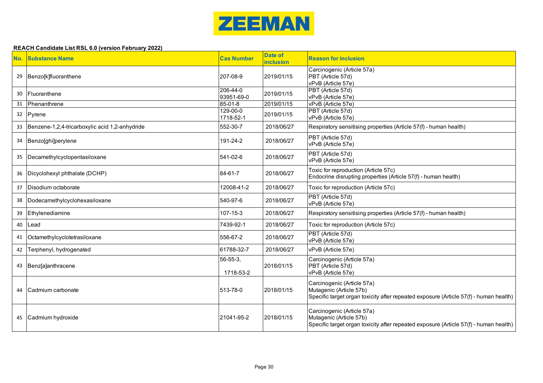

| No. | <b>Substance Name</b>                          | <b>Cas Number</b>           | <b>Date of</b><br><b>inclusion</b> | <b>Reason for inclusion</b>                                                                                                                    |
|-----|------------------------------------------------|-----------------------------|------------------------------------|------------------------------------------------------------------------------------------------------------------------------------------------|
| 29  | Benzo[k]fluoranthene                           | 207-08-9                    | 2019/01/15                         | Carcinogenic (Article 57a)<br>PBT (Article 57d)<br>vPvB (Article 57e)                                                                          |
| 30  | Fluoranthene                                   | 206-44-0<br>93951-69-0      | 2019/01/15                         | PBT (Article 57d)<br>vPvB (Article 57e)                                                                                                        |
| 31  | Phenanthrene                                   | 85-01-8                     | 2019/01/15                         | vPvB (Article 57e)                                                                                                                             |
|     | 32 Pyrene                                      | $129 - 00 - 0$<br>1718-52-1 | 2019/01/15                         | PBT (Article 57d)<br>vPvB (Article 57e)                                                                                                        |
| 33  | Benzene-1,2,4-tricarboxylic acid 1,2-anhydride | 552-30-7                    | 2018/06/27                         | Respiratory sensitising properties (Article 57(f) - human health)                                                                              |
|     | 34   Benzo[ghi]perylene                        | 191-24-2                    | 2018/06/27                         | PBT (Article 57d)<br>vPvB (Article 57e)                                                                                                        |
|     | 35   Decamethylcyclopentasiloxane              | 541-02-6                    | 2018/06/27                         | PBT (Article 57d)<br>vPvB (Article 57e)                                                                                                        |
|     | 36   Dicyclohexyl phthalate (DCHP)             | 84-61-7                     | 2018/06/27                         | Toxic for reproduction (Article 57c)<br>Endocrine disrupting properties (Article 57(f) - human health)                                         |
| 37  | Disodium octaborate                            | 12008-41-2                  | 2018/06/27                         | Toxic for reproduction (Article 57c)                                                                                                           |
| 38  | Dodecamethylcyclohexasiloxane                  | 540-97-6                    | 2018/06/27                         | PBT (Article 57d)<br>vPvB (Article 57e)                                                                                                        |
| 39  | Ethylenediamine                                | 107-15-3                    | 2018/06/27                         | Respiratory sensitising properties (Article 57(f) - human health)                                                                              |
| 40  | Lead                                           | 7439-92-1                   | 2018/06/27                         | Toxic for reproduction (Article 57c)                                                                                                           |
| 41  | Octamethylcyclotetrasiloxane                   | 556-67-2                    | 2018/06/27                         | PBT (Article 57d)<br>vPvB (Article 57e)                                                                                                        |
| 42  | Terphenyl, hydrogenated                        | 61788-32-7                  | 2018/06/27                         | vPvB (Article 57e)                                                                                                                             |
|     | 43   Benz[a]anthracene                         | 56-55-3,<br>1718-53-2       | 2018/01/15                         | Carcinogenic (Article 57a)<br>PBT (Article 57d)<br>vPvB (Article 57e)                                                                          |
| 44  | Cadmium carbonate                              | 513-78-0                    | 2018/01/15                         | Carcinogenic (Article 57a)<br>Mutagenic (Article 57b)<br>Specific target organ toxicity after repeated exposure (Article 57(f) - human health) |
| 45  | Cadmium hydroxide                              | 21041-95-2                  | 2018/01/15                         | Carcinogenic (Article 57a)<br>Mutagenic (Article 57b)<br>Specific target organ toxicity after repeated exposure (Article 57(f) - human health) |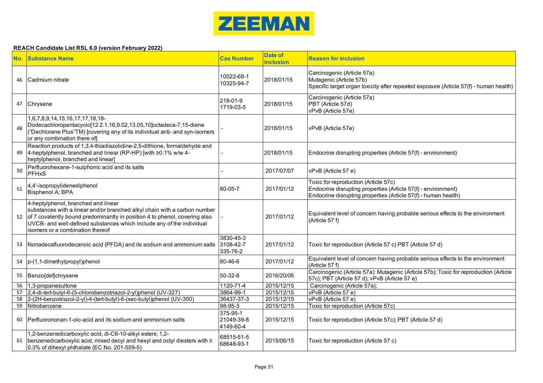

|    | No. Substance Name                                                                                                                                                                                                                                                                                          | <b>Cas Number</b>                   | <b>Date of</b><br><b>inclusion</b> | <b>Reason for inclusion</b>                                                                                                                                             |
|----|-------------------------------------------------------------------------------------------------------------------------------------------------------------------------------------------------------------------------------------------------------------------------------------------------------------|-------------------------------------|------------------------------------|-------------------------------------------------------------------------------------------------------------------------------------------------------------------------|
| 46 | Cadmium nitrate                                                                                                                                                                                                                                                                                             | 10022-68-1<br>10325-94-7            | 2018/01/15                         | Carcinogenic (Article 57a)<br>Mutagenic (Article 57b)<br>Specific target organ toxicity after repeated exposure (Article 57(f) - human health)                          |
|    | 47 Chrysene                                                                                                                                                                                                                                                                                                 | 218-01-9<br>1719-03-5               | 2018/01/15                         | Carcinogenic (Article 57a)<br>PBT (Article 57d)<br>vPvB (Article 57e)                                                                                                   |
| 48 | 1,6,7,8,9,14,15,16,17,17,18,18-<br>Dodecachloropentacyclo[12.2.1.16,9.02,13.05,10]octadeca-7,15-diene<br>("Dechlorane Plus"TM) [covering any of its individual anti- and syn-isomers<br>or any combination there of                                                                                         |                                     | 2018/01/15                         | vPvB (Article 57e)                                                                                                                                                      |
| 49 | Reaction products of 1,3,4-thiadiazolidine-2,5-dithione, formaldehyde and<br>$4$ -heptylphenol, branched and linear (RP-HP) [with $\geq$ 0.1% w/w 4-<br>heptylphenol, branched and linear]                                                                                                                  |                                     | 2018/01/15                         | Endocrine disrupting properties (Article 57(f) - environment)                                                                                                           |
| 50 | Perfluorohexane-1-sulphonic acid and its salts<br><b>PFHxS</b>                                                                                                                                                                                                                                              |                                     | 2017/07/07                         | vPvB (Article 57 e)                                                                                                                                                     |
| 51 | 4,4'-isopropylidenediphenol<br>Bisphenol A; BPA                                                                                                                                                                                                                                                             | 80-05-7                             | 2017/01/12                         | Toxic for reproduction (Article 57c)<br>Endocrine disrupting properties (Article 57(f) - environment)<br>Endocrine disrupting properties (Article 57(f) - human health) |
| 52 | 4-heptylphenol, branched and linear<br>substances with a linear and/or branched alkyl chain with a carbon number<br>of 7 covalently bound predominantly in position 4 to phenol, covering also<br>UVCB- and well-defined substances which include any of the individual<br>isomers or a combination thereof |                                     | 2017/01/12                         | Equivalent level of concern having probable serious effects to the environment<br>(Article 57 f)                                                                        |
|    | 53 Nonadecafluorodecanoic acid (PFDA) and its sodium and ammonium salts                                                                                                                                                                                                                                     | 3830-45-3<br>3108-42-7<br>335-76-2  | 2017/01/12                         | Toxic for reproduction (Article 57 c) PBT (Article 57 d)                                                                                                                |
|    | 54   p-(1,1-dimethylpropyl)phenol                                                                                                                                                                                                                                                                           | 80-46-6                             | 2017/01/12                         | Equivalent level of concern having probable serious effects to the environment<br>(Article 57 f)                                                                        |
|    | 55 Benzo{def}chrysene                                                                                                                                                                                                                                                                                       | $50-32-8$                           | 2016/20/06                         | Carcinogenic (Article 57a): Mutagenic (Article 57b); Toxic for reproduction (Article<br>57c); PBT (Article 57 d); vPvB (Article 57 e)                                   |
| 56 | 1,3-propanesultone                                                                                                                                                                                                                                                                                          | 1120-71-4                           | 2015/12/15                         | Carcinogenic (Article 57a);                                                                                                                                             |
| 57 | 2,4-di-tert-butyl-6-(5-chlorobenzotriazol-2-yl)phenol (UV-327)                                                                                                                                                                                                                                              | 3864-99-1                           | 2015/12/15                         | vPvB (Article 57 e)                                                                                                                                                     |
| 58 | 2-(2H-benzotriazol-2-yl)-4-(tert-butyl)-6-(sec-butyl)phenol (UV-350)                                                                                                                                                                                                                                        | 36437-37-3                          | 2015/12/15                         | vPvB (Article 57 e)                                                                                                                                                     |
| 59 | Nitrobenzene                                                                                                                                                                                                                                                                                                | $98 - 95 - 3$                       | 2015/12/15                         | Toxic for reproduction (Article 57c)                                                                                                                                    |
| 60 | Perfluorononan-1-oic-acid and its sodium and ammonium salts                                                                                                                                                                                                                                                 | 375-95-1<br>21049-39-8<br>4149-60-4 | 2015/12/15                         | Toxic for reproduction (Article 57c); PBT (Article 57 d)                                                                                                                |
|    | 1,2-benzenedicarboxylic acid, di-C6-10-alkyl esters; 1,2-<br>61   benzenedicarboxylic acid, mixed decyl and hexyl and octyl diesters with $\ge$<br>0.3% of dihexyl phthalate (EC No. 201-559-5)                                                                                                             | 68515-51-5<br>68648-93-1            | 2015/06/15                         | Toxic for reproduction (Article 57 c)                                                                                                                                   |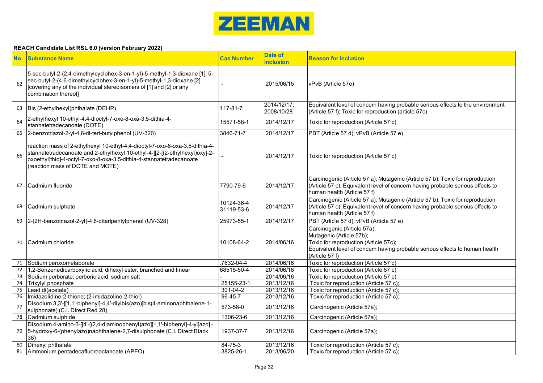

|    | <b>No. Substance Name</b>                                                                                                                                                                                                                                               | <b>Cas Number</b>        | <b>Date of</b><br>inclusion | <b>Reason for inclusion</b>                                                                                                                                                                       |
|----|-------------------------------------------------------------------------------------------------------------------------------------------------------------------------------------------------------------------------------------------------------------------------|--------------------------|-----------------------------|---------------------------------------------------------------------------------------------------------------------------------------------------------------------------------------------------|
| 62 | 5-sec-butyl-2-(2,4-dimethylcyclohex-3-en-1-yl)-5-methyl-1,3-dioxane [1], 5-<br>sec-butyl-2-(4,6-dimethylcyclohex-3-en-1-yl)-5-methyl-1,3-dioxane [2]<br>[covering any of the individual stereoisomers of [1] and [2] or any<br>combination thereof                      |                          | 2015/06/15                  | vPvB (Article 57e)                                                                                                                                                                                |
| 63 | Bis (2-ethylhexyl)phthalate (DEHP)                                                                                                                                                                                                                                      | 117-81-7                 | 2014/12/17;<br>2008/10/28   | Equivalent level of concern having probable serious effects to the environment<br>(Article 57 f); Toxic for reproduction (article 57c)                                                            |
| 64 | 2-ethylhexyl 10-ethyl-4,4-dioctyl-7-oxo-8-oxa-3,5-dithia-4-<br>stannatetradecanoate (DOTE)                                                                                                                                                                              | 15571-58-1               | 2014/12/17                  | Toxic for reproduction (Article 57 c)                                                                                                                                                             |
| 65 | 2-benzotriazol-2-yl-4,6-di-tert-butylphenol (UV-320)                                                                                                                                                                                                                    | 3846-71-7                | 2014/12/17                  | PBT (Article 57 d); vPvB (Article 57 e)                                                                                                                                                           |
| 66 | reaction mass of 2-ethylhexyl 10-ethyl-4,4-dioctyl-7-oxo-8-oxa-3,5-dithia-4-<br>stannatetradecanoate and 2-ethylhexyl 10-ethyl-4-[[2-[(2-ethylhexyl)oxy]-2-<br>oxoethyl]thio]-4-octyl-7-oxo-8-oxa-3,5-dithia-4-stannatetradecanoate<br>(reaction mass of DOTE and MOTE) |                          | 2014/12/17                  | Toxic for reproduction (Article 57 c)                                                                                                                                                             |
| 67 | l Cadmium fluoride                                                                                                                                                                                                                                                      | 7790-79-6                | 2014/12/17                  | Carcinogenic (Article 57 a); Mutagenic (Article 57 b); Toxic for reproduction<br>(Article 57 c); Equivalent level of concern having probable serious effects to<br>human health (Article 57 f)    |
| 68 | Cadmium sulphate                                                                                                                                                                                                                                                        | 10124-36-4<br>31119-53-6 | 2014/12/17                  | Carcinogenic (Article 57 a); Mutagenic (Article 57 b); Toxic for reproduction<br>(Article 57 c); Equivalent level of concern having probable serious effects to<br>human health (Article 57 f)    |
| 69 | 2-(2H-benzotriazol-2-yl)-4,6-ditertpentylphenol (UV-328)                                                                                                                                                                                                                | 25973-55-1               | 2014/12/17                  | PBT (Article 57 d); vPvB (Article 57 e)                                                                                                                                                           |
| 70 | Cadmium chloride                                                                                                                                                                                                                                                        | 10108-64-2               | 2014/06/16                  | Carcinogenic (Article 57a);<br>Mutagenic (Article 57b);<br>Toxic for reproduction (Article 57c);<br>Equivalent level of concern having probable serious effects to human health<br>(Article 57 f) |
| 71 | Sodium peroxometaborate                                                                                                                                                                                                                                                 | 7632-04-4                | 2014/06/16                  | Toxic for reproduction (Article 57 c)                                                                                                                                                             |
| 72 | 1,2-Benzenedicarboxylic acid, dihexyl ester, branched and linear                                                                                                                                                                                                        | 68515-50-4               | 2014/06/16                  | Toxic for reproduction (Article 57 c)                                                                                                                                                             |
| 73 | Sodium perborate; perboric acid, sodium salt                                                                                                                                                                                                                            |                          | 2014/06/16                  | Toxic for reproduction (Article 57 c)                                                                                                                                                             |
| 74 | Trixylyl phosphate                                                                                                                                                                                                                                                      | 25155-23-1               | 2013/12/16                  | Toxic for reproduction (Article 57 c);                                                                                                                                                            |
| 75 | Lead di(acetate)                                                                                                                                                                                                                                                        | $301 - 04 - 2$           | 2013/12/16                  | Toxic for reproduction (Article 57 c);                                                                                                                                                            |
| 76 | Imidazolidine-2-thione; (2-imidazoline-2-thiol)                                                                                                                                                                                                                         | 96-45-7                  | 2013/12/16                  | Toxic for reproduction (Article 57 c);                                                                                                                                                            |
| 77 | Disodium 3,3'-[[1,1'-biphenyl]-4,4'-diylbis(azo)]bis(4-aminonaphthalene-1-<br>sulphonate) (C.I. Direct Red 28)                                                                                                                                                          | 573-58-0                 | 2013/12/16                  | Carcinogenic (Article 57a);                                                                                                                                                                       |
| 78 | Cadmium sulphide                                                                                                                                                                                                                                                        | 1306-23-6                | 2013/12/16                  | Carcinogenic (Article 57a);                                                                                                                                                                       |
| 79 | Disodium 4-amino-3-[[4'-[(2,4-diaminophenyl)azo][1,1'-biphenyl]-4-yl]azo] -<br>5-hydroxy-6-(phenylazo)naphthalene-2,7-disulphonate (C.I. Direct Black<br>38)                                                                                                            | 1937-37-7                | 2013/12/16                  | Carcinogenic (Article 57a);                                                                                                                                                                       |
| 80 | Dihexyl phthalate                                                                                                                                                                                                                                                       | 84-75-3                  | 2013/12/16                  | Toxic for reproduction (Article 57 c);                                                                                                                                                            |
|    | 81   Ammonium pentadecafluorooctanoate (APFO)                                                                                                                                                                                                                           | 3825-26-1                | 2013/06/20                  | Toxic for reproduction (Article 57 c);                                                                                                                                                            |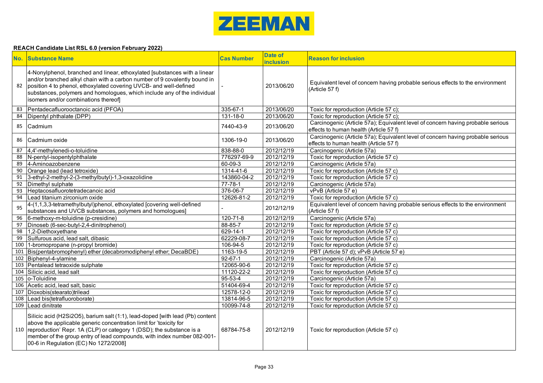

|    | No. Substance Name                                                                                                                                                                                                                                                                                                                                  | <b>Cas Number</b> | <b>Date of</b><br><b>inclusion</b> | <b>Reason for inclusion</b>                                                                                               |
|----|-----------------------------------------------------------------------------------------------------------------------------------------------------------------------------------------------------------------------------------------------------------------------------------------------------------------------------------------------------|-------------------|------------------------------------|---------------------------------------------------------------------------------------------------------------------------|
| 82 | 4-Nonylphenol, branched and linear, ethoxylated [substances with a linear<br>and/or branched alkyl chain with a carbon number of 9 covalently bound in<br>position 4 to phenol, ethoxylated covering UVCB- and well-defined<br>substances, polymers and homologues, which include any of the individual<br>isomers and/or combinations thereof]     |                   | 2013/06/20                         | Equivalent level of concern having probable serious effects to the environment<br>(Article 57 f)                          |
| 83 | Pentadecafluorooctanoic acid (PFOA)                                                                                                                                                                                                                                                                                                                 | 335-67-1          | 2013/06/20                         | Toxic for reproduction (Article 57 c);                                                                                    |
| 84 | Dipentyl phthalate (DPP)                                                                                                                                                                                                                                                                                                                            | 131-18-0          | 2013/06/20                         | Toxic for reproduction (Article 57 c);                                                                                    |
| 85 | Cadmium                                                                                                                                                                                                                                                                                                                                             | 7440-43-9         | 2013/06/20                         | Carcinogenic (Article 57a); Equivalent level of concern having probable serious<br>effects to human health (Article 57 f) |
| 86 | Cadmium oxide                                                                                                                                                                                                                                                                                                                                       | 1306-19-0         | 2013/06/20                         | Carcinogenic (Article 57a); Equivalent level of concern having probable serious<br>effects to human health (Article 57 f) |
| 87 | 4,4'-methylenedi-o-toluidine                                                                                                                                                                                                                                                                                                                        | 838-88-0          | 2012/12/19                         | Carcinogenic (Article 57a)                                                                                                |
| 88 | N-pentyl-isopentylphthalate                                                                                                                                                                                                                                                                                                                         | 776297-69-9       | 2012/12/19                         | Toxic for reproduction (Article 57 c)                                                                                     |
| 89 | 4-Aminoazobenzene                                                                                                                                                                                                                                                                                                                                   | 60-09-3           | 2012/12/19                         | Carcinogenic (Article 57a)                                                                                                |
| 90 | Orange lead (lead tetroxide)                                                                                                                                                                                                                                                                                                                        | 1314-41-6         | 2012/12/19                         | Toxic for reproduction (Article 57 c)                                                                                     |
| 91 | 3-ethyl-2-methyl-2-(3-methylbutyl)-1,3-oxazolidine                                                                                                                                                                                                                                                                                                  | 143860-04-2       | 2012/12/19                         | Toxic for reproduction (Article 57 c)                                                                                     |
| 92 | Dimethyl sulphate                                                                                                                                                                                                                                                                                                                                   | $77 - 78 - 1$     | 2012/12/19                         | Carcinogenic (Article 57a)                                                                                                |
|    | 93 Heptacosafluorotetradecanoic acid                                                                                                                                                                                                                                                                                                                | 376-06-7          | 2012/12/19                         | vPvB (Article 57 e)                                                                                                       |
|    | 94 Lead titanium zirconium oxide                                                                                                                                                                                                                                                                                                                    | 12626-81-2        | 2012/12/19                         | Toxic for reproduction (Article 57 c)                                                                                     |
| 95 | 4-(1,1,3,3-tetramethylbutyl)phenol, ethoxylated [covering well-defined<br>substances and UVCB substances, polymers and homologues]                                                                                                                                                                                                                  |                   | 2012/12/19                         | Equivalent level of concern having probable serious effects to the environment<br>(Article 57 f)                          |
| 96 | 6-methoxy-m-toluidine (p-cresidine)                                                                                                                                                                                                                                                                                                                 | $120 - 71 - 8$    | 2012/12/19                         | Carcinogenic (Article 57a)                                                                                                |
| 97 | Dinoseb (6-sec-butyl-2,4-dinitrophenol)                                                                                                                                                                                                                                                                                                             | $88 - 85 - 7$     | 2012/12/19                         | Toxic for reproduction (Article 57 c)                                                                                     |
|    | 98 1,2-Diethoxyethane                                                                                                                                                                                                                                                                                                                               | 629-14-1          | 2012/12/19                         | Toxic for reproduction (Article 57 c)                                                                                     |
| 99 | Sulfurous acid, lead salt, dibasic                                                                                                                                                                                                                                                                                                                  | 62229-08-7        | 2012/12/19                         | Toxic for reproduction (Article 57 c)                                                                                     |
|    | 100 1-bromopropane (n-propyl bromide)                                                                                                                                                                                                                                                                                                               | 106-94-5          | 2012/12/19                         | Toxic for reproduction (Article 57 c)                                                                                     |
|    | 101 Bis(pentabromophenyl) ether (decabromodiphenyl ether; DecaBDE)                                                                                                                                                                                                                                                                                  | 1163-19-5         | 2012/12/19                         | PBT (Article 57 d); vPvB (Article 57 e)                                                                                   |
|    | 102 Biphenyl-4-ylamine                                                                                                                                                                                                                                                                                                                              | $92 - 67 - 1$     | 2012/12/19                         | Carcinogenic (Article 57a)                                                                                                |
|    | 103 Pentalead tetraoxide sulphate                                                                                                                                                                                                                                                                                                                   | 12065-90-6        | 2012/12/19                         | Toxic for reproduction (Article 57 c)                                                                                     |
|    | 104 Silicic acid, lead salt                                                                                                                                                                                                                                                                                                                         | 11120-22-2        | 2012/12/19                         | Toxic for reproduction (Article 57 c)                                                                                     |
|    | 105 o-Toluidine                                                                                                                                                                                                                                                                                                                                     | $95 - 53 - 4$     | 2012/12/19                         | Carcinogenic (Article 57a)                                                                                                |
|    | 106 Acetic acid, lead salt, basic                                                                                                                                                                                                                                                                                                                   | 51404-69-4        | 2012/12/19                         | Toxic for reproduction (Article 57 c)                                                                                     |
|    | 107 Dioxobis(stearato)trilead                                                                                                                                                                                                                                                                                                                       | 12578-12-0        | 2012/12/19                         | Toxic for reproduction (Article 57 c)                                                                                     |
|    | 108 Lead bis(tetrafluoroborate)                                                                                                                                                                                                                                                                                                                     | 13814-96-5        | 2012/12/19                         | Toxic for reproduction (Article 57 c)                                                                                     |
|    | 109 Lead dinitrate                                                                                                                                                                                                                                                                                                                                  | 10099-74-8        | 2012/12/19                         | Toxic for reproduction (Article 57 c)                                                                                     |
|    | Silicic acid (H2Si2O5), barium salt (1:1), lead-doped [with lead (Pb) content<br>above the applicable generic concentration limit for 'toxicity for<br>110 reproduction' Repr. 1A (CLP) or category 1 (DSD); the substance is a<br>member of the group entry of lead compounds, with index number 082-001-<br>00-6 in Regulation (EC) No 1272/2008] | 68784-75-8        | 2012/12/19                         | Toxic for reproduction (Article 57 c)                                                                                     |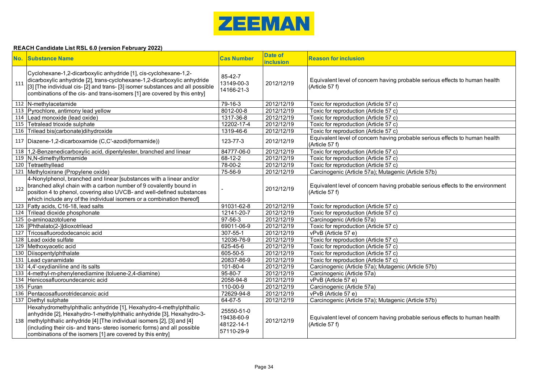

|     | No. Substance Name                                                                                                                                                                                                                                                                                                                                                  | <b>Cas Number</b>                                    | <b>Date of</b><br><b>inclusion</b> | <b>Reason for inclusion</b>                                                                      |
|-----|---------------------------------------------------------------------------------------------------------------------------------------------------------------------------------------------------------------------------------------------------------------------------------------------------------------------------------------------------------------------|------------------------------------------------------|------------------------------------|--------------------------------------------------------------------------------------------------|
| 111 | Cyclohexane-1,2-dicarboxylic anhydride [1], cis-cyclohexane-1,2-<br>dicarboxylic anhydride [2], trans-cyclohexane-1,2-dicarboxylic anhydride<br>[3] [The individual cis- [2] and trans- [3] isomer substances and all possible<br>combinations of the cis- and trans-isomers [1] are covered by this entry]                                                         | 85-42-7<br>13149-00-3<br>14166-21-3                  | 2012/12/19                         | Equivalent level of concern having probable serious effects to human health<br>(Article 57 f)    |
|     | 112 N-methylacetamide                                                                                                                                                                                                                                                                                                                                               | 79-16-3                                              | 2012/12/19                         | Toxic for reproduction (Article 57 c)                                                            |
|     | 113 Pyrochlore, antimony lead yellow                                                                                                                                                                                                                                                                                                                                | 8012-00-8                                            | 2012/12/19                         | Toxic for reproduction (Article 57 c)                                                            |
|     | 114 Lead monoxide (lead oxide)                                                                                                                                                                                                                                                                                                                                      | 1317-36-8                                            | 2012/12/19                         | Toxic for reproduction (Article 57 c)                                                            |
|     | 115 Tetralead trioxide sulphate                                                                                                                                                                                                                                                                                                                                     | 12202-17-4                                           | 2012/12/19                         | Toxic for reproduction (Article 57 c)                                                            |
|     | 116 Trilead bis(carbonate) dihydroxide                                                                                                                                                                                                                                                                                                                              | 1319-46-6                                            | 2012/12/19                         | Toxic for reproduction (Article 57 c)                                                            |
|     | 117   Diazene-1,2-dicarboxamide (C,C'-azodi(formamide))                                                                                                                                                                                                                                                                                                             | 123-77-3                                             | 2012/12/19                         | Equivalent level of concern having probable serious effects to human health<br>(Article 57 f)    |
|     | 118 1,2-Benzenedicarboxylic acid, dipentylester, branched and linear                                                                                                                                                                                                                                                                                                | 84777-06-0                                           | 2012/12/19                         | Toxic for reproduction (Article 57 c)                                                            |
|     | 119 N,N-dimethylformamide                                                                                                                                                                                                                                                                                                                                           | $68-12-2$                                            | 2012/12/19                         | Toxic for reproduction (Article 57 c)                                                            |
|     | 120 Tetraethyllead                                                                                                                                                                                                                                                                                                                                                  | 78-00-2                                              | 2012/12/19                         | Toxic for reproduction (Article 57 c)                                                            |
|     | 121 Methyloxirane (Propylene oxide)                                                                                                                                                                                                                                                                                                                                 | 75-56-9                                              | 2012/12/19                         | Carcinogenic (Article 57a); Mutagenic (Article 57b)                                              |
| 122 | 4-Nonylphenol, branched and linear [substances with a linear and/or<br>branched alkyl chain with a carbon number of 9 covalently bound in<br>position 4 to phenol, covering also UVCB- and well-defined substances<br>which include any of the individual isomers or a combination thereof]                                                                         |                                                      | 2012/12/19                         | Equivalent level of concern having probable serious effects to the environment<br>(Article 57 f) |
|     | 123 Fatty acids, C16-18, lead salts                                                                                                                                                                                                                                                                                                                                 | 91031-62-8                                           | 2012/12/19                         | Toxic for reproduction (Article 57 c)                                                            |
|     | 124 Trilead dioxide phosphonate                                                                                                                                                                                                                                                                                                                                     | 12141-20-7                                           | 2012/12/19                         | Toxic for reproduction (Article 57 c)                                                            |
|     | 125 o-aminoazotoluene                                                                                                                                                                                                                                                                                                                                               | $97-56-3$                                            | 2012/12/19                         | Carcinogenic (Article 57a)                                                                       |
|     | 126   [Phthalato(2-)] dioxotrilead                                                                                                                                                                                                                                                                                                                                  | 69011-06-9                                           | 2012/12/19                         | Toxic for reproduction (Article 57 c)                                                            |
| 127 | Tricosafluorododecanoic acid                                                                                                                                                                                                                                                                                                                                        | 307-55-1                                             | 2012/12/19                         | vPvB (Article 57 e)                                                                              |
|     | 128 Lead oxide sulfate                                                                                                                                                                                                                                                                                                                                              | 12036-76-9                                           | 2012/12/19                         | Toxic for reproduction (Article 57 c)                                                            |
|     | 129 Methoxyacetic acid                                                                                                                                                                                                                                                                                                                                              | 625-45-6                                             | 2012/12/19                         | Toxic for reproduction (Article 57 c)                                                            |
|     | 130 Diisopentylphthalate                                                                                                                                                                                                                                                                                                                                            | 605-50-5                                             | 2012/12/19                         | Toxic for reproduction (Article 57 c)                                                            |
|     | 131 Lead cyanamidate                                                                                                                                                                                                                                                                                                                                                | 20837-86-9                                           | 2012/12/19                         | Toxic for reproduction (Article 57 c)                                                            |
|     | 132 4,4'-oxydianiline and its salts                                                                                                                                                                                                                                                                                                                                 | $101 - 80 - 4$                                       | 2012/12/19                         | Carcinogenic (Article 57a); Mutagenic (Article 57b)                                              |
|     | 133 4-methyl-m-phenylenediamine (toluene-2,4-diamine)                                                                                                                                                                                                                                                                                                               | $95 - 80 - 7$                                        | 2012/12/19                         | Carcinogenic (Article 57a)                                                                       |
|     | 134 Henicosafluoroundecanoic acid                                                                                                                                                                                                                                                                                                                                   | 2058-94-8                                            | 2012/12/19                         | vPvB (Article 57 e)                                                                              |
|     | 135 Furan                                                                                                                                                                                                                                                                                                                                                           | 110-00-9                                             | 2012/12/19                         | Carcinogenic (Article 57a)                                                                       |
|     | 136 Pentacosafluorotridecanoic acid                                                                                                                                                                                                                                                                                                                                 | 72629-94-8                                           | 2012/12/19                         | vPvB (Article 57 e)                                                                              |
|     | 137 Diethyl sulphate                                                                                                                                                                                                                                                                                                                                                | 64-67-5                                              | 2012/12/19                         | Carcinogenic (Article 57a); Mutagenic (Article 57b)                                              |
|     | Hexahydromethylphthalic anhydride [1], Hexahydro-4-methylphthalic<br>anhydride [2], Hexahydro-1-methylphthalic anhydride [3], Hexahydro-3-<br>138   methylphthalic anhydride [4] [The individual isomers [2], [3] and [4]<br>(including their cis- and trans- stereo isomeric forms) and all possible<br>combinations of the isomers [1] are covered by this entry] | 25550-51-0<br>19438-60-9<br>48122-14-1<br>57110-29-9 | 2012/12/19                         | Equivalent level of concern having probable serious effects to human health<br>(Article 57 f)    |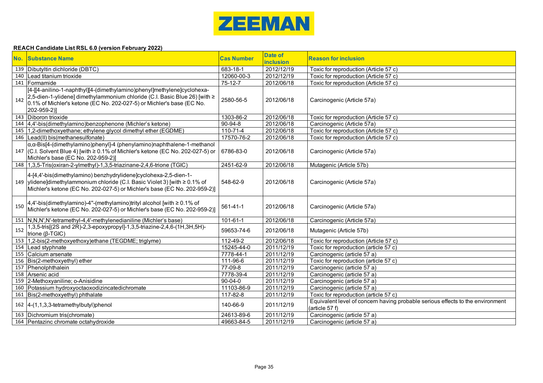

|     | No. Substance Name                                                                                                                                                                                                                            | <b>Cas Number</b>      | <b>Date of</b><br><b>inclusion</b> | <b>Reason for inclusion</b>                                                                      |
|-----|-----------------------------------------------------------------------------------------------------------------------------------------------------------------------------------------------------------------------------------------------|------------------------|------------------------------------|--------------------------------------------------------------------------------------------------|
|     | 139 Dibutyltin dichloride (DBTC)                                                                                                                                                                                                              | $683 - 18 - 1$         | 2012/12/19                         | Toxic for reproduction (Article 57 c)                                                            |
|     | 140 Lead titanium trioxide                                                                                                                                                                                                                    | 12060-00-3             | 2012/12/19                         | Toxic for reproduction (Article 57 c)                                                            |
|     | 141 Formamide                                                                                                                                                                                                                                 | $75-12-7$              | 2012/06/18                         | Toxic for reproduction (Article 57 c)                                                            |
| 142 | [4-[[4-anilino-1-naphthyl][4-(dimethylamino)phenyl]methylene]cyclohexa-<br>2,5-dien-1-ylidene] dimethylammonium chloride (C.I. Basic Blue 26) [with ≥<br>0.1% of Michler's ketone (EC No. 202-027-5) or Michler's base (EC No.<br>202-959-2)] | 2580-56-5              | 2012/06/18                         | Carcinogenic (Article 57a)                                                                       |
|     | 143 Diboron trioxide                                                                                                                                                                                                                          | 1303-86-2              | 2012/06/18                         | Toxic for reproduction (Article 57 c)                                                            |
|     | 144 4.4 - bis(dimethylamino) benzophenone (Michler's ketone)                                                                                                                                                                                  | $90 - 94 - 8$          | 2012/06/18                         | Carcinogenic (Article 57a)                                                                       |
|     | 145 1,2-dimethoxyethane; ethylene glycol dimethyl ether (EGDME)                                                                                                                                                                               | $110 - 71 - 4$         | 2012/06/18                         | Toxic for reproduction (Article 57 c)                                                            |
|     | 146   Lead(II) bis(methanesulfonate)                                                                                                                                                                                                          | 17570-76-2             | 2012/06/18                         | Toxic for reproduction (Article 57 c)                                                            |
|     | α, α-Bis[4-(dimethylamino)phenyl]-4 (phenylamino)naphthalene-1-methanol<br>147 $(C.I.$ Solvent Blue 4) [with $\geq$ 0.1% of Michler's ketone (EC No. 202-027-5) or<br>Michler's base (EC No. 202-959-2)]                                      | 6786-83-0              | 2012/06/18                         | Carcinogenic (Article 57a)                                                                       |
|     | 148   1,3,5-Tris(oxiran-2-ylmethyl)-1,3,5-triazinane-2,4,6-trione (TGIC)                                                                                                                                                                      | 2451-62-9              | 2012/06/18                         | Mutagenic (Article 57b)                                                                          |
|     | 4-[4,4'-bis(dimethylamino) benzhydrylidene]cyclohexa-2,5-dien-1-<br>149   ylidene]dimethylammonium chloride (C.I. Basic Violet 3) [with ≥ 0.1% of<br>Michler's ketone (EC No. 202-027-5) or Michler's base (EC No. 202-959-2)]                | 548-62-9               | 2012/06/18                         | Carcinogenic (Article 57a)                                                                       |
| 150 | 4,4'-bis(dimethylamino)-4"-(methylamino)trityl alcohol [with ≥ 0.1% of<br> Michler's ketone (EC No. 202-027-5) or Michler's base (EC No. 202-959-2)]                                                                                          | 561-41-1               | 2012/06/18                         | Carcinogenic (Article 57a)                                                                       |
|     | 151 N,N,N',N'-tetramethyl-4,4'-methylenedianiline (Michler's base)                                                                                                                                                                            | $101 - 61 - 1$         | 2012/06/18                         | Carcinogenic (Article 57a)                                                                       |
| 152 | 1,3,5-tris[(2S and 2R)-2,3-epoxypropyl]-1,3,5-triazine-2,4,6-(1H,3H,5H)-<br>trione ( $\beta$ -TGIC)                                                                                                                                           | 59653-74-6             | 2012/06/18                         | Mutagenic (Article 57b)                                                                          |
|     | 153 1,2-bis(2-methoxyethoxy)ethane (TEGDME; triglyme)                                                                                                                                                                                         | 112-49-2               | 2012/06/18                         | Toxic for reproduction (Article 57 c)                                                            |
|     | 154 Lead styphnate                                                                                                                                                                                                                            | 15245-44-0             | 2011/12/19                         | Toxic for reproduction (article 57 c)                                                            |
|     | 155 Calcium arsenate                                                                                                                                                                                                                          | $\overline{7778-44-1}$ | 2011/12/19                         | Carcinogenic (article 57 a)                                                                      |
|     | 156 Bis(2-methoxyethyl) ether                                                                                                                                                                                                                 | 111-96-6               | 2011/12/19                         | Toxic for reproduction (article 57 c)                                                            |
|     | 157 Phenolphthalein                                                                                                                                                                                                                           | 77-09-8                | 2011/12/19                         | Carcinogenic (article 57 a)                                                                      |
|     | 158 Arsenic acid                                                                                                                                                                                                                              | 7778-39-4              | 2011/12/19                         | Carcinogenic (article 57 a)                                                                      |
|     | 159 2-Methoxyaniline; o-Anisidine                                                                                                                                                                                                             | $90 - 04 - 0$          | 2011/12/19                         | Carcinogenic (article 57 a)                                                                      |
|     | 160 Potassium hydroxyoctaoxodizincatedichromate                                                                                                                                                                                               | 11103-86-9             | 2011/12/19                         | Carcinogenic (article 57 a)                                                                      |
|     | 161 Bis(2-methoxyethyl) phthalate                                                                                                                                                                                                             | 117-82-8               | 2011/12/19                         | Toxic for reproduction (article 57 c)                                                            |
|     | 162 4-(1,1,3,3-tetramethylbutyl)phenol                                                                                                                                                                                                        | 140-66-9               | 2011/12/19                         | Equivalent level of concern having probable serious effects to the environment<br>(article 57 f) |
|     | 163 Dichromium tris(chromate)                                                                                                                                                                                                                 | 24613-89-6             | 2011/12/19                         | Carcinogenic (article 57 a)                                                                      |
|     | 164 Pentazinc chromate octahydroxide                                                                                                                                                                                                          | 49663-84-5             | 2011/12/19                         | Carcinogenic (article 57 a)                                                                      |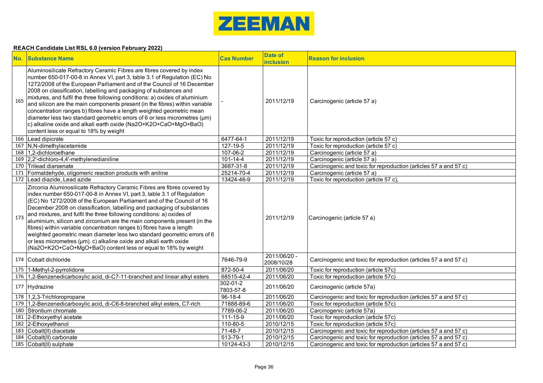

|     | <b>No. Substance Name</b>                                                                                                                                                                                                                                                                                                                                                                                                                                                                                                                                                                                                                                                                                                                             | <b>Cas Number</b>     | <b>Date of</b><br><b>inclusion</b> | <b>Reason for inclusion</b>                                      |
|-----|-------------------------------------------------------------------------------------------------------------------------------------------------------------------------------------------------------------------------------------------------------------------------------------------------------------------------------------------------------------------------------------------------------------------------------------------------------------------------------------------------------------------------------------------------------------------------------------------------------------------------------------------------------------------------------------------------------------------------------------------------------|-----------------------|------------------------------------|------------------------------------------------------------------|
| 165 | Aluminosilicate Refractory Ceramic Fibres are fibres covered by index<br>number 650-017-00-8 in Annex VI, part 3, table 3.1 of Regulation (EC) No<br>1272/2008 of the European Parliament and of the Council of 16 December<br>2008 on classification, labelling and packaging of substances and<br>mixtures, and fulfil the three following conditions: a) oxides of aluminium<br>and silicon are the main components present (in the fibres) within variable<br>concentration ranges b) fibres have a length weighted geometric mean<br>diameter less two standard geometric errors of 6 or less micrometres (µm)<br>c) alkaline oxide and alkali earth oxide (Na2O+K2O+CaO+MgO+BaO)<br>content less or equal to 18% by weight                      |                       | 2011/12/19                         | Carcinogenic (article 57 a)                                      |
|     | 166 Lead dipicrate                                                                                                                                                                                                                                                                                                                                                                                                                                                                                                                                                                                                                                                                                                                                    | 6477-64-1             | 2011/12/19                         | Toxic for reproduction (article 57 c)                            |
|     | 167 N,N-dimethylacetamide                                                                                                                                                                                                                                                                                                                                                                                                                                                                                                                                                                                                                                                                                                                             | 127-19-5              | 2011/12/19                         | Toxic for reproduction (article 57 c)                            |
|     | 168 1,2-dichloroethane                                                                                                                                                                                                                                                                                                                                                                                                                                                                                                                                                                                                                                                                                                                                | 107-06-2              | 2011/12/19                         | Carcinogenic (article 57 a)                                      |
|     | 169 2.2'-dichloro-4,4'-methylenedianiline                                                                                                                                                                                                                                                                                                                                                                                                                                                                                                                                                                                                                                                                                                             | $101 - 14 - 4$        | 2011/12/19                         | Carcinogenic (article 57 a)                                      |
|     | 170 Trilead diarsenate                                                                                                                                                                                                                                                                                                                                                                                                                                                                                                                                                                                                                                                                                                                                | 3687-31-8             | 2011/12/19                         | Carcinogenic and toxic for reproduction (articles 57 a and 57 c) |
|     | 171 Formaldehyde, oligomeric reaction products with aniline                                                                                                                                                                                                                                                                                                                                                                                                                                                                                                                                                                                                                                                                                           | 25214-70-4            | 2011/12/19                         | Carcinogenic (article 57 a)                                      |
|     | 172 Lead diazide, Lead azide                                                                                                                                                                                                                                                                                                                                                                                                                                                                                                                                                                                                                                                                                                                          | 13424-46-9            | 2011/12/19                         | Toxic for reproduction (article 57 c),                           |
| 173 | Zirconia Aluminosilicate Refractory Ceramic Fibres are fibres covered by<br>index number 650-017-00-8 in Annex VI, part 3, table 3.1 of Regulation<br>(EC) No 1272/2008 of the European Parliament and of the Council of 16<br>December 2008 on classification, labelling and packaging of substances<br>and mixtures, and fulfil the three following conditions: a) oxides of<br>aluminium, silicon and zirconium are the main components present (in the<br>fibres) within variable concentration ranges b) fibres have a length<br>weighted geometric mean diameter less two standard geometric errors of 6<br>or less micrometres (µm). c) alkaline oxide and alkali earth oxide<br>(Na2O+K2O+CaO+MgO+BaO) content less or equal to 18% by weight |                       | 2011/12/19                         | Carcinogenic (article 57 a)                                      |
|     | 174 Cobalt dichloride                                                                                                                                                                                                                                                                                                                                                                                                                                                                                                                                                                                                                                                                                                                                 | 7646-79-9             | 2011/06/20 -<br>2008/10/28         | Carcinogenic and toxic for reproduction (articles 57 a and 57 c) |
|     | 175 1-Methyl-2-pyrrolidone                                                                                                                                                                                                                                                                                                                                                                                                                                                                                                                                                                                                                                                                                                                            | 872-50-4              | 2011/06/20                         | Toxic for reproduction (article 57c)                             |
|     | 176 1,2-Benzenedicarboxylic acid, di-C7-11-branched and linear alkyl esters                                                                                                                                                                                                                                                                                                                                                                                                                                                                                                                                                                                                                                                                           | 68515-42-4            | 2011/06/20                         | Toxic for reproduction (article 57c)                             |
|     | 177 Hydrazine                                                                                                                                                                                                                                                                                                                                                                                                                                                                                                                                                                                                                                                                                                                                         | 302-01-2<br>7803-57-8 | 2011/06/20                         | Carcinogenic (article 57a)                                       |
|     | 178 1,2,3-Trichloropropane                                                                                                                                                                                                                                                                                                                                                                                                                                                                                                                                                                                                                                                                                                                            | $96 - 18 - 4$         | 2011/06/20                         | Carcinogenic and toxic for reproduction (articles 57 a and 57 c) |
|     | 179 1,2-Benzenedicarboxylic acid, di-C6-8-branched alkyl esters, C7-rich                                                                                                                                                                                                                                                                                                                                                                                                                                                                                                                                                                                                                                                                              | 71888-89-6            | 2011/06/20                         | Toxic for reproduction (article 57c)                             |
|     | 180 Strontium chromate                                                                                                                                                                                                                                                                                                                                                                                                                                                                                                                                                                                                                                                                                                                                | 7789-06-2             | 2011/06/20                         | Carcinogenic (article 57a)                                       |
|     | 181 2-Ethoxyethyl acetate                                                                                                                                                                                                                                                                                                                                                                                                                                                                                                                                                                                                                                                                                                                             | $111 - 15 - 9$        | 2011/06/20                         | Toxic for reproduction (article 57c)                             |
|     | 182 2-Ethoxyethanol                                                                                                                                                                                                                                                                                                                                                                                                                                                                                                                                                                                                                                                                                                                                   | 110-80-5              | 2010/12/15                         | Toxic for reproduction (article 57c)                             |
|     | 183 Cobalt(II) diacetate                                                                                                                                                                                                                                                                                                                                                                                                                                                                                                                                                                                                                                                                                                                              | 71-48-7               | 2010/12/15                         | Carcinogenic and toxic for reproduction (articles 57 a and 57 c) |
|     | 184 Cobalt(II) carbonate                                                                                                                                                                                                                                                                                                                                                                                                                                                                                                                                                                                                                                                                                                                              | 513-79-1              | 2010/12/15                         | Carcinogenic and toxic for reproduction (articles 57 a and 57 c) |
|     | 185 Cobalt(II) sulphate                                                                                                                                                                                                                                                                                                                                                                                                                                                                                                                                                                                                                                                                                                                               | 10124-43-3            | 2010/12/15                         | Carcinogenic and toxic for reproduction (articles 57 a and 57 c) |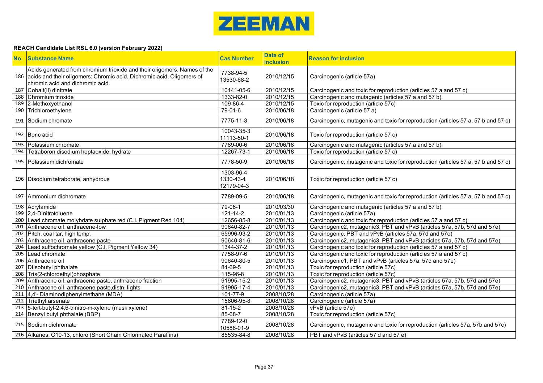

|     | <b>No. Substance Name</b>                                                                                                                                                                 | <b>Cas Number</b>                    | <b>Date of</b><br><b>inclusion</b> | <b>Reason for inclusion</b>                                                       |
|-----|-------------------------------------------------------------------------------------------------------------------------------------------------------------------------------------------|--------------------------------------|------------------------------------|-----------------------------------------------------------------------------------|
|     | Acids generated from chromium trioxide and their oligomers. Names of the<br>186 acids and their oligomers: Chromic acid, Dichromic acid, Oligomers of<br>chromic acid and dichromic acid. | 7738-94-5<br>13530-68-2              | 2010/12/15                         | Carcinogenic (article 57a)                                                        |
|     | 187 Cobalt(II) dinitrate                                                                                                                                                                  | 10141-05-6                           | 2010/12/15                         | Carcinogenic and toxic for reproduction (articles 57 a and 57 c)                  |
|     | 188 Chromium trioxide                                                                                                                                                                     | 1333-82-0                            | 2010/12/15                         | Carcinogenic and mutagenic (articles 57 a and 57 b)                               |
|     | 189 2-Methoxyethanol                                                                                                                                                                      | 109-86-4                             | 2010/12/15                         | Toxic for reproduction (article 57c)                                              |
|     | 190 Trichloroethylene                                                                                                                                                                     | $79 - 01 - 6$                        | 2010/06/18                         | Carcinogenic (article 57 a)                                                       |
|     | 191 Sodium chromate                                                                                                                                                                       | 7775-11-3                            | 2010/06/18                         | Carcinogenic, mutagenic and toxic for reproduction (articles 57 a, 57 b and 57 c) |
|     | 192 Boric acid                                                                                                                                                                            | 10043-35-3<br>11113-50-1             | 2010/06/18                         | Toxic for reproduction (article 57 c)                                             |
|     | 193 Potassium chromate                                                                                                                                                                    | 7789-00-6                            | 2010/06/18                         | Carcinogenic and mutagenic (articles 57 a and 57 b).                              |
| 194 | Tetraboron disodium heptaoxide, hydrate                                                                                                                                                   | 12267-73-1                           | 2010/06/18                         | Toxic for reproduction (article 57 c)                                             |
|     | 195 Potassium dichromate                                                                                                                                                                  | 7778-50-9                            | 2010/06/18                         | Carcinogenic, mutagenic and toxic for reproduction (articles 57 a, 57 b and 57 c) |
|     | 196   Disodium tetraborate, anhydrous                                                                                                                                                     | 1303-96-4<br>1330-43-4<br>12179-04-3 | 2010/06/18                         | Toxic for reproduction (article 57 c)                                             |
|     | 197 Ammonium dichromate                                                                                                                                                                   | 7789-09-5                            | 2010/06/18                         | Carcinogenic, mutagenic and toxic for reproduction (articles 57 a, 57 b and 57 c) |
|     | 198 Acrylamide                                                                                                                                                                            | 79-06-1                              | 2010/03/30                         | Carcinogenic and mutagenic (articles 57 a and 57 b)                               |
|     | 199 2,4-Dinitrotoluene                                                                                                                                                                    | $121 - 14 - 2$                       | 2010/01/13                         | Carcinogenic (article 57a)                                                        |
|     | 200 Lead chromate molybdate sulphate red (C.I. Pigment Red 104)                                                                                                                           | 12656-85-8                           | 2010/01/13                         | Carcinogenic and toxic for reproduction (articles 57 a and 57 c)                  |
|     | 201 Anthracene oil, anthracene-low                                                                                                                                                        | 90640-82-7                           | 2010/01/13                         | Carcinogenic2, mutagenic3, PBT and vPvB (articles 57a, 57b, 57d and 57e)          |
|     | 202 Pitch, coal tar, high temp.                                                                                                                                                           | 65996-93-2                           | 2010/01/13                         | Carcinogenic, PBT and vPvB (articles 57a, 57d and 57e)                            |
|     | 203 Anthracene oil, anthracene paste                                                                                                                                                      | 90640-81-6                           | 2010/01/13                         | Carcinogenic2, mutagenic3, PBT and vPvB (articles 57a, 57b, 57d and 57e)          |
|     | 204 Lead sulfochromate yellow (C.I. Pigment Yellow 34)                                                                                                                                    | 1344-37-2                            | 2010/01/13                         | Carcinogenic and toxic for reproduction (articles 57 a and 57 c)                  |
|     | 205 Lead chromate                                                                                                                                                                         | 7758-97-6                            | 2010/01/13                         | Carcinogenic and toxic for reproduction (articles 57 a and 57 c)                  |
|     | 206 Anthracene oil                                                                                                                                                                        | 90640-80-5                           | 2010/01/13                         | Carcinogenic1, PBT and vPvB (articles 57a, 57d and 57e)                           |
|     | 207 Diisobutyl phthalate                                                                                                                                                                  | $84 - 69 - 5$                        | 2010/01/13                         | Toxic for reproduction (article 57c)                                              |
|     | 208 Tris(2-chloroethyl)phosphate                                                                                                                                                          | 115-96-8                             | 2010/01/13                         | Toxic for reproduction (article 57c)                                              |
|     | 209 Anthracene oil, anthracene paste, anthracene fraction                                                                                                                                 | 91995-15-2                           | 2010/01/13                         | Carcinogenic2, mutagenic3, PBT and vPvB (articles 57a, 57b, 57d and 57e)          |
|     | 210 Anthracene oil, anthracene paste, distn. lights                                                                                                                                       | 91995-17-4                           | 2010/01/13                         | Carcinogenic2, mutagenic3, PBT and vPvB (articles 57a, 57b, 57d and 57e)          |
|     | 211 4,4'- Diaminodiphenylmethane (MDA)                                                                                                                                                    | 101-77-9                             | 2008/10/28                         | Carcinogenic (article 57a)                                                        |
|     | 212 Triethyl arsenate                                                                                                                                                                     | 15606-95-8                           | 2008/10/28                         | Carcinogenic (article 57a)                                                        |
|     | 213 5-tert-butyl-2,4,6-trinitro-m-xylene (musk xylene)                                                                                                                                    | $81 - 15 - 2$                        | 2008/10/28                         | vPvB (article 57e)                                                                |
|     | 214 Benzyl butyl phthalate (BBP)                                                                                                                                                          | $85 - 68 - 7$                        | 2008/10/28                         | Toxic for reproduction (article 57c)                                              |
|     | 215 Sodium dichromate                                                                                                                                                                     | 7789-12-0<br>10588-01-9              | 2008/10/28                         | Carcinogenic, mutagenic and toxic for reproduction (articles 57a, 57b and 57c)    |
|     | 216 Alkanes, C10-13, chloro (Short Chain Chlorinated Paraffins)                                                                                                                           | 85535-84-8                           | 2008/10/28                         | PBT and vPvB (articles 57 d and 57 e)                                             |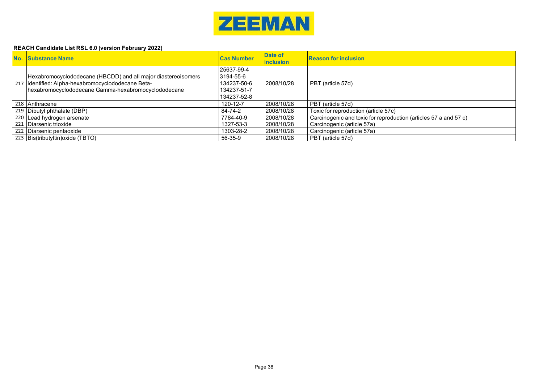

| No. Substance Name                                                                                                                                                           | <b>Cas Number</b>                                                     | Date of<br><b>linclusion</b> | <b>Reason for inclusion</b>                                      |
|------------------------------------------------------------------------------------------------------------------------------------------------------------------------------|-----------------------------------------------------------------------|------------------------------|------------------------------------------------------------------|
| Hexabromocyclododecane (HBCDD) and all major diastereoisomers<br>217   identified: Alpha-hexabromocyclododecane Beta-<br>hexabromocyclododecane Gamma-hexabromocyclododecane | 125637-99-4<br>3194-55-6<br>134237-50-6<br>134237-51-7<br>134237-52-8 | 2008/10/28                   | PBT (article 57d)                                                |
| 218 Anthracene                                                                                                                                                               | 120-12-7                                                              | 2008/10/28                   | PBT (article 57d)                                                |
| 219 Dibutyl phthalate (DBP)                                                                                                                                                  | 84-74-2                                                               | 2008/10/28                   | Toxic for reproduction (article 57c)                             |
| 220 Lead hydrogen arsenate                                                                                                                                                   | 7784-40-9                                                             | 2008/10/28                   | Carcinogenic and toxic for reproduction (articles 57 a and 57 c) |
| 221 Diarsenic trioxide                                                                                                                                                       | 1327-53-3                                                             | 2008/10/28                   | Carcinogenic (article 57a)                                       |
| 222 Diarsenic pentaoxide                                                                                                                                                     | 1303-28-2                                                             | 2008/10/28                   | Carcinogenic (article 57a)                                       |
| 223 Bis(tributyltin) oxide (TBTO)                                                                                                                                            | 56-35-9                                                               | 2008/10/28                   | PBT (article 57d)                                                |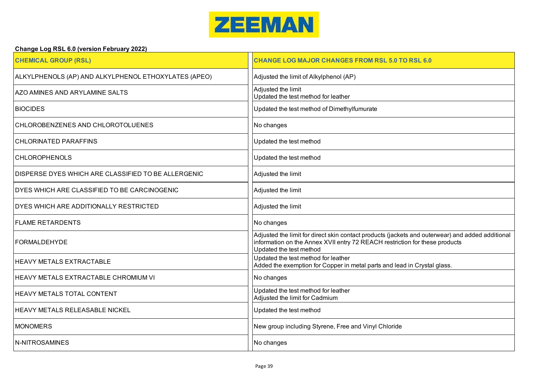

# **Change Log RSL 6.0 (version February 2022)**

| <b>CHEMICAL GROUP (RSL)</b>                          | <b>CHANGE LOG MAJOR CHANGES FROM RSL 5.0 TO RSL 6.0</b>                                                                                                                                                    |
|------------------------------------------------------|------------------------------------------------------------------------------------------------------------------------------------------------------------------------------------------------------------|
| ALKYLPHENOLS (AP) AND ALKYLPHENOL ETHOXYLATES (APEO) | Adjusted the limit of Alkylphenol (AP)                                                                                                                                                                     |
| AZO AMINES AND ARYLAMINE SALTS                       | Adjusted the limit<br>Updated the test method for leather                                                                                                                                                  |
| <b>BIOCIDES</b>                                      | Updated the test method of Dimethylfumurate                                                                                                                                                                |
| CHLOROBENZENES AND CHLOROTOLUENES                    | No changes                                                                                                                                                                                                 |
| <b>CHLORINATED PARAFFINS</b>                         | Updated the test method                                                                                                                                                                                    |
| <b>CHLOROPHENOLS</b>                                 | Updated the test method                                                                                                                                                                                    |
| DISPERSE DYES WHICH ARE CLASSIFIED TO BE ALLERGENIC  | Adjusted the limit                                                                                                                                                                                         |
| DYES WHICH ARE CLASSIFIED TO BE CARCINOGENIC         | Adjusted the limit                                                                                                                                                                                         |
| DYES WHICH ARE ADDITIONALLY RESTRICTED               | Adjusted the limit                                                                                                                                                                                         |
| <b>FLAME RETARDENTS</b>                              | No changes                                                                                                                                                                                                 |
| <b>FORMALDEHYDE</b>                                  | Adjusted the limit for direct skin contact products (jackets and outerwear) and added additional<br>information on the Annex XVII entry 72 REACH restriction for these products<br>Updated the test method |
| <b>HEAVY METALS EXTRACTABLE</b>                      | Updated the test method for leather<br>Added the exemption for Copper in metal parts and lead in Crystal glass.                                                                                            |
| HEAVY METALS EXTRACTABLE CHROMIUM VI                 | No changes                                                                                                                                                                                                 |
| HEAVY METALS TOTAL CONTENT                           | Updated the test method for leather<br>Adjusted the limit for Cadmium                                                                                                                                      |
| <b>HEAVY METALS RELEASABLE NICKEL</b>                | Updated the test method                                                                                                                                                                                    |
| <b>MONOMERS</b>                                      | New group including Styrene, Free and Vinyl Chloride                                                                                                                                                       |
| N-NITROSAMINES                                       | No changes                                                                                                                                                                                                 |